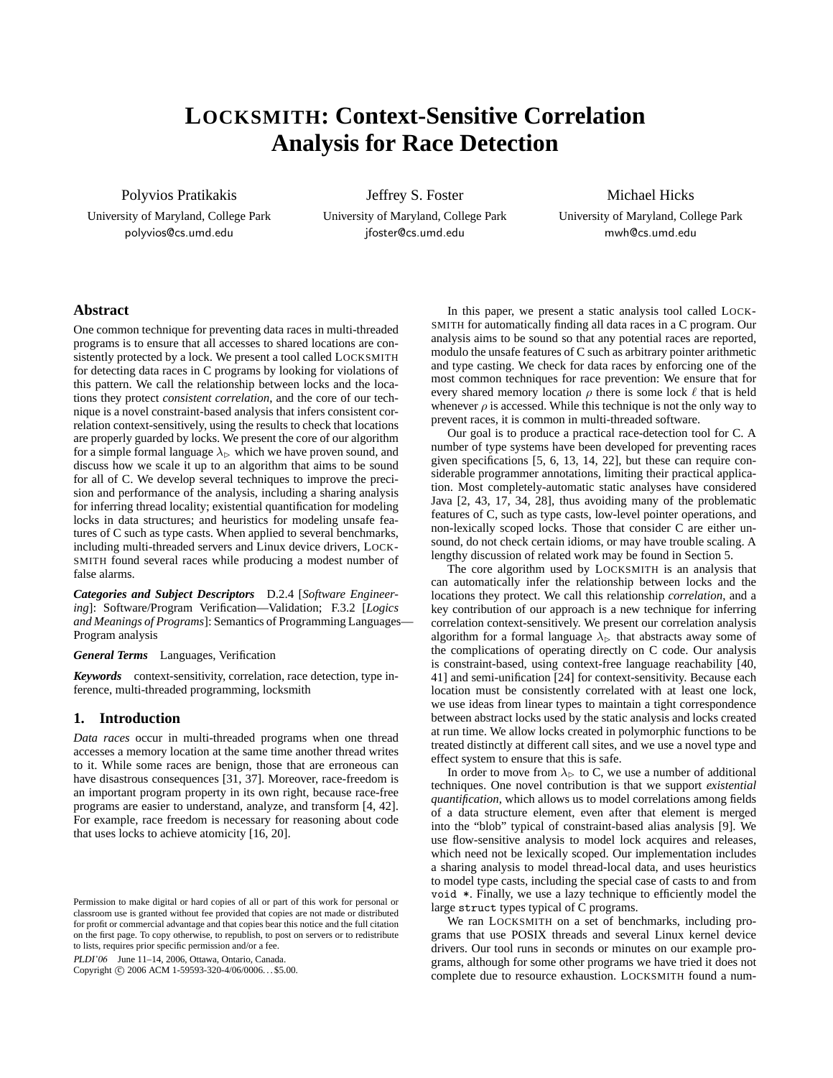# **LOCKSMITH: Context-Sensitive Correlation Analysis for Race Detection**

Polyvios Pratikakis

University of Maryland, College Park polyvios@cs.umd.edu

Jeffrey S. Foster University of Maryland, College Park jfoster@cs.umd.edu

Michael Hicks University of Maryland, College Park mwh@cs.umd.edu

**Abstract**

One common technique for preventing data races in multi-threaded programs is to ensure that all accesses to shared locations are consistently protected by a lock. We present a tool called LOCKSMITH for detecting data races in C programs by looking for violations of this pattern. We call the relationship between locks and the locations they protect *consistent correlation*, and the core of our technique is a novel constraint-based analysis that infers consistent correlation context-sensitively, using the results to check that locations are properly guarded by locks. We present the core of our algorithm for a simple formal language  $\lambda_{\triangleright}$  which we have proven sound, and discuss how we scale it up to an algorithm that aims to be sound for all of C. We develop several techniques to improve the precision and performance of the analysis, including a sharing analysis for inferring thread locality; existential quantification for modeling locks in data structures; and heuristics for modeling unsafe features of C such as type casts. When applied to several benchmarks, including multi-threaded servers and Linux device drivers, LOCK-SMITH found several races while producing a modest number of false alarms.

*Categories and Subject Descriptors* D.2.4 [*Software Engineering*]: Software/Program Verification—Validation; F.3.2 [*Logics and Meanings of Programs*]: Semantics of Programming Languages— Program analysis

*General Terms* Languages, Verification

*Keywords* context-sensitivity, correlation, race detection, type inference, multi-threaded programming, locksmith

# **1. Introduction**

*Data races* occur in multi-threaded programs when one thread accesses a memory location at the same time another thread writes to it. While some races are benign, those that are erroneous can have disastrous consequences [31, 37]. Moreover, race-freedom is an important program property in its own right, because race-free programs are easier to understand, analyze, and transform [4, 42]. For example, race freedom is necessary for reasoning about code that uses locks to achieve atomicity [16, 20].

PLDI'06 June 11–14, 2006, Ottawa, Ontario, Canada.

Copyright © 2006 ACM 1-59593-320-4/06/0006... \$5.00.

In this paper, we present a static analysis tool called LOCK-SMITH for automatically finding all data races in a C program. Our analysis aims to be sound so that any potential races are reported, modulo the unsafe features of C such as arbitrary pointer arithmetic and type casting. We check for data races by enforcing one of the most common techniques for race prevention: We ensure that for every shared memory location  $\rho$  there is some lock  $\ell$  that is held whenever  $\rho$  is accessed. While this technique is not the only way to prevent races, it is common in multi-threaded software.

Our goal is to produce a practical race-detection tool for C. A number of type systems have been developed for preventing races given specifications [5, 6, 13, 14, 22], but these can require considerable programmer annotations, limiting their practical application. Most completely-automatic static analyses have considered Java [2, 43, 17, 34, 28], thus avoiding many of the problematic features of C, such as type casts, low-level pointer operations, and non-lexically scoped locks. Those that consider C are either unsound, do not check certain idioms, or may have trouble scaling. A lengthy discussion of related work may be found in Section 5.

The core algorithm used by LOCKSMITH is an analysis that can automatically infer the relationship between locks and the locations they protect. We call this relationship *correlation*, and a key contribution of our approach is a new technique for inferring correlation context-sensitively. We present our correlation analysis algorithm for a formal language  $\lambda_{\triangleright}$  that abstracts away some of the complications of operating directly on C code. Our analysis is constraint-based, using context-free language reachability [40, 41] and semi-unification [24] for context-sensitivity. Because each location must be consistently correlated with at least one lock, we use ideas from linear types to maintain a tight correspondence between abstract locks used by the static analysis and locks created at run time. We allow locks created in polymorphic functions to be treated distinctly at different call sites, and we use a novel type and effect system to ensure that this is safe.

In order to move from  $\lambda_{\triangleright}$  to C, we use a number of additional techniques. One novel contribution is that we support *existential quantification*, which allows us to model correlations among fields of a data structure element, even after that element is merged into the "blob" typical of constraint-based alias analysis [9]. We use flow-sensitive analysis to model lock acquires and releases, which need not be lexically scoped. Our implementation includes a sharing analysis to model thread-local data, and uses heuristics to model type casts, including the special case of casts to and from void \*. Finally, we use a lazy technique to efficiently model the large struct types typical of C programs.

We ran LOCKSMITH on a set of benchmarks, including programs that use POSIX threads and several Linux kernel device drivers. Our tool runs in seconds or minutes on our example programs, although for some other programs we have tried it does not complete due to resource exhaustion. LOCKSMITH found a num-

Permission to make digital or hard copies of all or part of this work for personal or classroom use is granted without fee provided that copies are not made or distributed for profit or commercial advantage and that copies bear this notice and the full citation on the first page. To copy otherwise, to republish, to post on servers or to redistribute to lists, requires prior specific permission and/or a fee.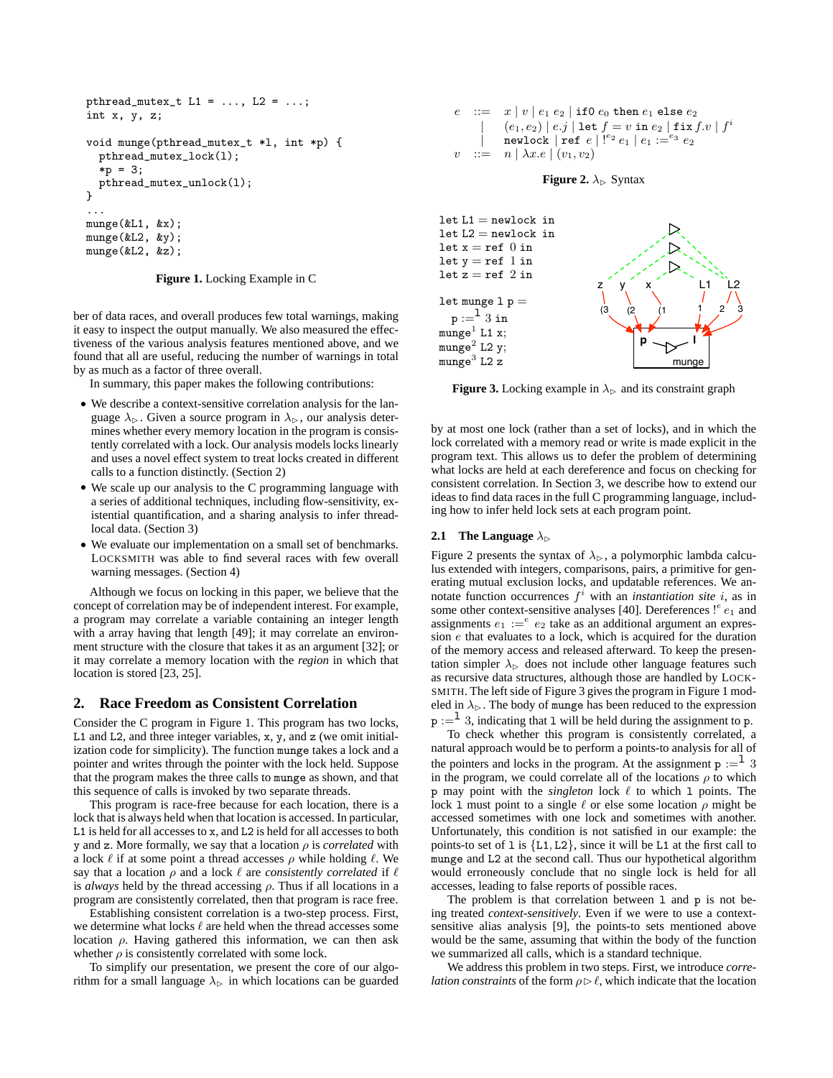```
pthread_mutex_t L1 = ..., L2 = ...;
int x, y, z;
void munge(pthread_mutex_t *l, int *p) {
 pthread_mutex_lock(l);
  *p = 3;
  pthread_mutex_unlock(l);
}
...
munge(&L1, &x);
munge(&L2, &y);
munge(&L2, &z);
```
**Figure 1.** Locking Example in C

ber of data races, and overall produces few total warnings, making it easy to inspect the output manually. We also measured the effectiveness of the various analysis features mentioned above, and we found that all are useful, reducing the number of warnings in total by as much as a factor of three overall.

In summary, this paper makes the following contributions:

- We describe a context-sensitive correlation analysis for the language  $\lambda_{\triangleright}$ . Given a source program in  $\lambda_{\triangleright}$ , our analysis determines whether every memory location in the program is consistently correlated with a lock. Our analysis models locks linearly and uses a novel effect system to treat locks created in different calls to a function distinctly. (Section 2)
- We scale up our analysis to the C programming language with a series of additional techniques, including flow-sensitivity, existential quantification, and a sharing analysis to infer threadlocal data. (Section 3)
- We evaluate our implementation on a small set of benchmarks. LOCKSMITH was able to find several races with few overall warning messages. (Section 4)

Although we focus on locking in this paper, we believe that the concept of correlation may be of independent interest. For example, a program may correlate a variable containing an integer length with a array having that length [49]; it may correlate an environment structure with the closure that takes it as an argument [32]; or it may correlate a memory location with the *region* in which that location is stored [23, 25].

# **2. Race Freedom as Consistent Correlation**

Consider the C program in Figure 1. This program has two locks, L1 and L2, and three integer variables, x, y, and z (we omit initialization code for simplicity). The function munge takes a lock and a pointer and writes through the pointer with the lock held. Suppose that the program makes the three calls to munge as shown, and that this sequence of calls is invoked by two separate threads.

This program is race-free because for each location, there is a lock that is always held when that location is accessed. In particular, L1 is held for all accesses to x, and L2 is held for all accesses to both y and z. More formally, we say that a location  $\rho$  is *correlated* with a lock  $\ell$  if at some point a thread accesses  $\rho$  while holding  $\ell$ . We say that a location  $\rho$  and a lock  $\ell$  are *consistently correlated* if  $\ell$ is *always* held by the thread accessing  $\rho$ . Thus if all locations in a program are consistently correlated, then that program is race free.

Establishing consistent correlation is a two-step process. First, we determine what locks  $\ell$  are held when the thread accesses some location  $ρ$ . Having gathered this information, we can then ask whether  $\rho$  is consistently correlated with some lock.

To simplify our presentation, we present the core of our algorithm for a small language  $\lambda_{\triangleright}$  in which locations can be guarded







**Figure 3.** Locking example in  $\lambda_{\triangleright}$  and its constraint graph

by at most one lock (rather than a set of locks), and in which the lock correlated with a memory read or write is made explicit in the program text. This allows us to defer the problem of determining what locks are held at each dereference and focus on checking for consistent correlation. In Section 3, we describe how to extend our ideas to find data races in the full C programming language, including how to infer held lock sets at each program point.

## **2.1** The Language  $\lambda_{\triangleright}$

Figure 2 presents the syntax of  $\lambda_{\triangleright}$ , a polymorphic lambda calculus extended with integers, comparisons, pairs, a primitive for generating mutual exclusion locks, and updatable references. We annotate function occurrences  $f^i$  with an *instantiation site i*, as in some other context-sensitive analyses [40]. Dereferences  $!^{e}e_1$  and assignments  $e_1 :=^e e_2$  take as an additional argument an expression e that evaluates to a lock, which is acquired for the duration of the memory access and released afterward. To keep the presentation simpler  $\lambda_{\triangleright}$  does not include other language features such as recursive data structures, although those are handled by LOCK-SMITH. The left side of Figure 3 gives the program in Figure 1 modeled in  $\lambda_{\triangleright}$ . The body of munge has been reduced to the expression  $p :=$ <sup>1</sup> 3, indicating that 1 will be held during the assignment to p.

To check whether this program is consistently correlated, a natural approach would be to perform a points-to analysis for all of the pointers and locks in the program. At the assignment  $p :=$ <sup>1</sup> 3 in the program, we could correlate all of the locations  $\rho$  to which p may point with the  $singleton$  lock  $\ell$  to which 1 points. The lock 1 must point to a single  $\ell$  or else some location  $\rho$  might be accessed sometimes with one lock and sometimes with another. Unfortunately, this condition is not satisfied in our example: the points-to set of 1 is  ${L1, L2}$ , since it will be L1 at the first call to munge and L2 at the second call. Thus our hypothetical algorithm would erroneously conclude that no single lock is held for all accesses, leading to false reports of possible races.

The problem is that correlation between 1 and p is not being treated *context-sensitively*. Even if we were to use a contextsensitive alias analysis [9], the points-to sets mentioned above would be the same, assuming that within the body of the function we summarized all calls, which is a standard technique.

We address this problem in two steps. First, we introduce *correlation constraints* of the form  $\rho \triangleright \ell$ , which indicate that the location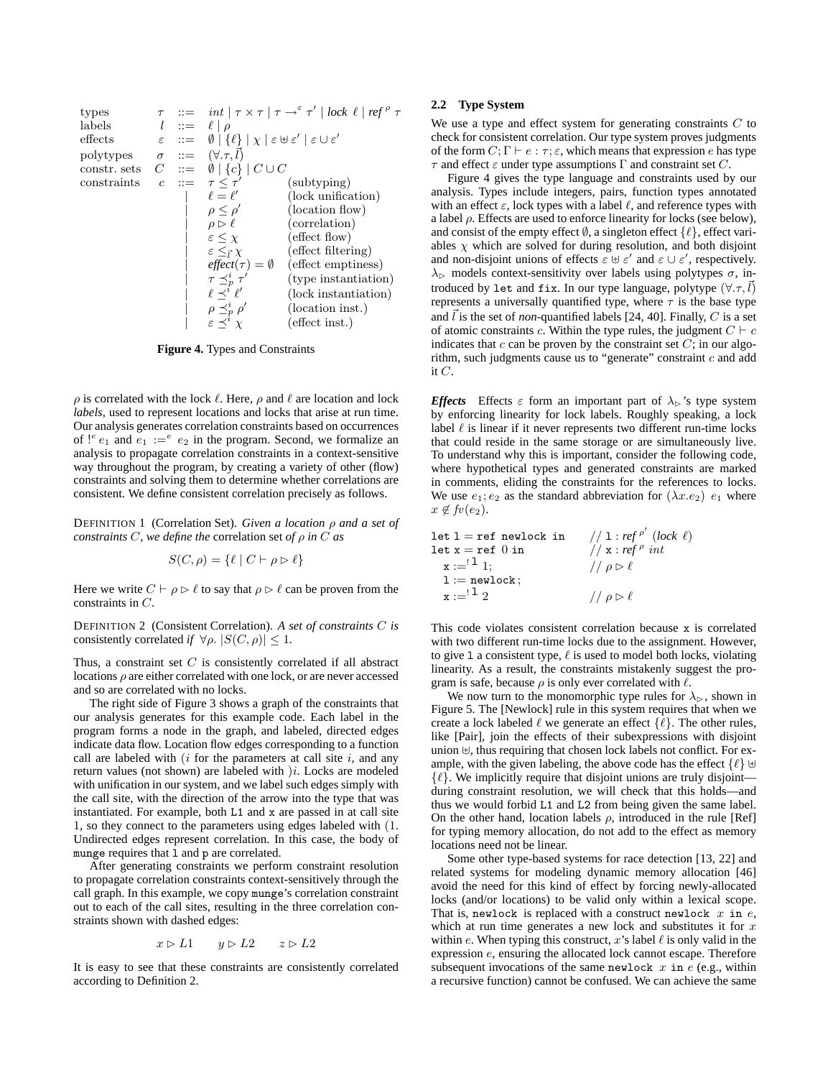| types                                           | $\tau$ ::= $\int \frac{\pi}{\epsilon} \, dt \mid \tau \times \tau \mid \tau \to^{\varepsilon} \tau' \mid \text{lock } \ell \mid \text{ref } \rho \tau$ |
|-------------------------------------------------|--------------------------------------------------------------------------------------------------------------------------------------------------------|
| labels                                          | $l$ ::= $\ell \mid \rho$                                                                                                                               |
| effects                                         | $\varepsilon$ ::= $\emptyset \mid \{\ell\} \mid \chi \mid \varepsilon \uplus \varepsilon' \mid \varepsilon \cup \varepsilon'$                          |
| polytypes                                       | $\sigma$ ::= $\emptyset \mid \{\ell\} \mid C \cup C$                                                                                                   |
| constraints                                     | $c$ ::= $\tau \leq \tau'$ (subtyping)                                                                                                                  |
| $\ell = \ell'$ (lock unification)               |                                                                                                                                                        |
| $\rho \leq \rho'$ (location flow)               |                                                                                                                                                        |
| $\rho \geq \rho'$ (location flow)               |                                                                                                                                                        |
| $\varepsilon \leq \chi$ (effect flow)           |                                                                                                                                                        |
| $\varepsilon \leq \chi$ (effect filtering)      |                                                                                                                                                        |
| $\varepsilon \leq \tau \chi$ (effect filtering) |                                                                                                                                                        |
| $\tau \leq_p^{\tau} \tau'$ (type instantiation) |                                                                                                                                                        |
| $\ell \leq \ell'$ (lock instantiation)          |                                                                                                                                                        |
| $\rho \leq_p^{\ell} \rho'$ (lock instantiation) |                                                                                                                                                        |
| $\rho \leq_p^{\ell} \rho'$ (location inst.)     |                                                                                                                                                        |
| $\varepsilon \leq \tau' \chi$ (effect inst.)    |                                                                                                                                                        |

**Figure 4.** Types and Constraints

 $\rho$  is correlated with the lock  $\ell$ . Here,  $\rho$  and  $\ell$  are location and lock *labels*, used to represent locations and locks that arise at run time. Our analysis generates correlation constraints based on occurrences of  $e_1$  and  $e_1 := e_2$  in the program. Second, we formalize an analysis to propagate correlation constraints in a context-sensitive way throughout the program, by creating a variety of other (flow) constraints and solving them to determine whether correlations are consistent. We define consistent correlation precisely as follows.

DEFINITION 1 (Correlation Set). *Given a location* ρ *and a set of constraints* C*, we define the* correlation set *of* ρ *in* C *as*

$$
S(C, \rho) = \{ \ell \mid C \vdash \rho \rhd \ell \}
$$

Here we write  $C \vdash \rho \triangleright \ell$  to say that  $\rho \triangleright \ell$  can be proven from the constraints in C.

DEFINITION 2 (Consistent Correlation). *A set of constraints* C *is* consistently correlated *if*  $\forall \rho$ .  $|S(C, \rho)| \leq 1$ .

Thus, a constraint set  $C$  is consistently correlated if all abstract locations  $\rho$  are either correlated with one lock, or are never accessed and so are correlated with no locks.

The right side of Figure 3 shows a graph of the constraints that our analysis generates for this example code. Each label in the program forms a node in the graph, and labeled, directed edges indicate data flow. Location flow edges corresponding to a function call are labeled with  $(i$  for the parameters at call site  $i$ , and any return values (not shown) are labeled with  $)i$ . Locks are modeled with unification in our system, and we label such edges simply with the call site, with the direction of the arrow into the type that was instantiated. For example, both L1 and x are passed in at call site 1, so they connect to the parameters using edges labeled with (1. Undirected edges represent correlation. In this case, the body of munge requires that l and p are correlated.

After generating constraints we perform constraint resolution to propagate correlation constraints context-sensitively through the call graph. In this example, we copy munge's correlation constraint out to each of the call sites, resulting in the three correlation constraints shown with dashed edges:

$$
x \rhd L1 \qquad y \rhd L2 \qquad z \rhd L2
$$

It is easy to see that these constraints are consistently correlated according to Definition 2.

# **2.2 Type System**

We use a type and effect system for generating constraints  $C$  to check for consistent correlation. Our type system proves judgments of the form  $C; \Gamma \vdash e : \tau; \varepsilon$ , which means that expression e has type  $\tau$  and effect  $\varepsilon$  under type assumptions  $\Gamma$  and constraint set C.

Figure 4 gives the type language and constraints used by our analysis. Types include integers, pairs, function types annotated with an effect  $\varepsilon$ , lock types with a label  $\ell$ , and reference types with a label  $\rho$ . Effects are used to enforce linearity for locks (see below), and consist of the empty effect  $\emptyset$ , a singleton effect  $\{\ell\}$ , effect variables  $\chi$  which are solved for during resolution, and both disjoint and non-disjoint unions of effects  $\varepsilon \uplus \varepsilon'$  and  $\varepsilon \cup \varepsilon'$ , respectively.  $\lambda_{\triangleright}$  models context-sensitivity over labels using polytypes  $\sigma$ , introduced by let and fix. In our type language, polytype  $(\forall . \tau, l)$ represents a universally quantified type, where  $\tau$  is the base type and  $\bar{l}$  is the set of *non*-quantified labels [24, 40]. Finally, C is a set of atomic constraints c. Within the type rules, the judgment  $C \vdash c$ indicates that  $c$  can be proven by the constraint set  $C$ ; in our algorithm, such judgments cause us to "generate" constraint  $c$  and add it  $C$ .

*Effects* Effects  $\varepsilon$  form an important part of  $\lambda_{\triangleright}$ 's type system by enforcing linearity for lock labels. Roughly speaking, a lock label  $\ell$  is linear if it never represents two different run-time locks that could reside in the same storage or are simultaneously live. To understand why this is important, consider the following code, where hypothetical types and generated constraints are marked in comments, eliding the constraints for the references to locks. We use  $e_1$ ;  $e_2$  as the standard abbreviation for  $(\lambda x.e_2)$   $e_1$  where  $x \notin \mathit{fv}(e_2)$ .

| $let 1 = ref$ newlock in                                        | // 1 : $ref^{\rho'}$ (lock $\ell$ ) |
|-----------------------------------------------------------------|-------------------------------------|
| $\texttt{let x} = \texttt{ref} \enspace 0 \enspace \texttt{in}$ | // $x: ref^{\rho} int$              |
| $x := 1^1 1$ ;                                                  | // $\rho \triangleright \ell$       |
| $1 := newlock;$                                                 |                                     |
| $x := 12$                                                       | $// \rho \triangleright \ell$       |

This code violates consistent correlation because x is correlated with two different run-time locks due to the assignment. However, to give 1 a consistent type,  $\ell$  is used to model both locks, violating linearity. As a result, the constraints mistakenly suggest the program is safe, because  $\rho$  is only ever correlated with  $\ell$ .

We now turn to the monomorphic type rules for  $\lambda_{\triangleright}$ , shown in Figure 5. The [Newlock] rule in this system requires that when we create a lock labeled  $\ell$  we generate an effect  $\{\ell\}$ . The other rules, like [Pair], join the effects of their subexpressions with disjoint union  $\forall$ , thus requiring that chosen lock labels not conflict. For example, with the given labeling, the above code has the effect  $\{\ell\} \uplus$  $\{\ell\}$ . We implicitly require that disjoint unions are truly disjoint during constraint resolution, we will check that this holds—and thus we would forbid L1 and L2 from being given the same label. On the other hand, location labels  $\rho$ , introduced in the rule [Ref] for typing memory allocation, do not add to the effect as memory locations need not be linear.

Some other type-based systems for race detection [13, 22] and related systems for modeling dynamic memory allocation [46] avoid the need for this kind of effect by forcing newly-allocated locks (and/or locations) to be valid only within a lexical scope. That is, newlock is replaced with a construct newlock  $x$  in  $e$ , which at run time generates a new lock and substitutes it for  $x$ within e. When typing this construct, x's label  $\ell$  is only valid in the expression e, ensuring the allocated lock cannot escape. Therefore subsequent invocations of the same newlock  $x$  in  $e$  (e.g., within a recursive function) cannot be confused. We can achieve the same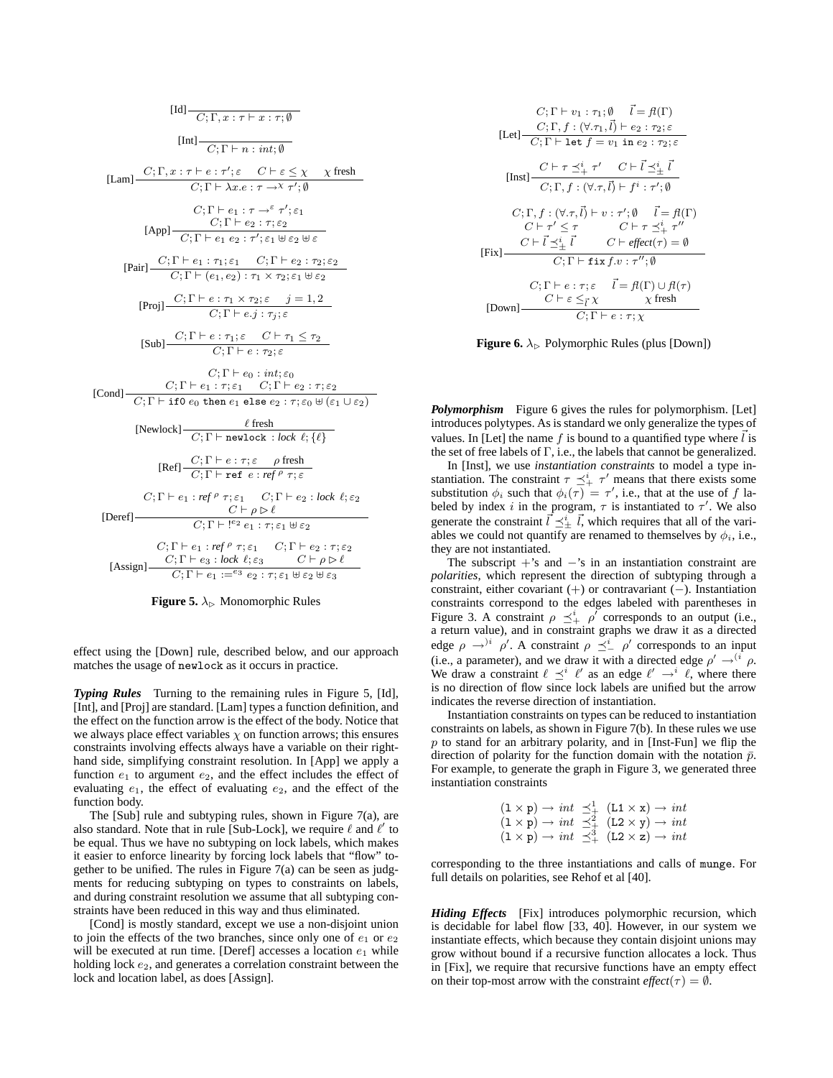$$
[Id] \frac{}{C; \Gamma, x : \tau \vdash x : \tau; \emptyset}
$$
\n
$$
[Int] \frac{}{C; \Gamma + n : int; \emptyset}
$$
\n
$$
[Lam] \frac{C; \Gamma, x : \tau \vdash e : \tau'; \varepsilon \quad C \vdash \varepsilon \leq \chi \quad \chi \text{ fresh}}{C; \Gamma \vdash \lambda x. e : \tau \rightarrow^{\kappa} \tau'; \emptyset}
$$
\n
$$
C; \Gamma \vdash e_1 : \tau \rightarrow^{\varepsilon} \tau'; \varepsilon_1
$$
\n
$$
[App] \frac{C; \Gamma \vdash e_2 : \tau; \varepsilon_2}{C; \Gamma \vdash e_2 : \tau'; \varepsilon_1 \quad \forall \varepsilon_2 \quad \forall \varepsilon} \varepsilon}
$$
\n
$$
[Pair] \frac{C; \Gamma \vdash e_1 : \tau_1; \varepsilon_1 \quad C; \Gamma \vdash e_2 : \tau_2; \varepsilon_2}{C; \Gamma \vdash (e_1, e_2) : \tau_1 \times \tau_2; \varepsilon_1 \quad \forall \varepsilon_2} \varepsilon}
$$
\n
$$
[Proj] \frac{C; \Gamma \vdash e : \tau_1 \times \tau_2; \varepsilon \quad j = 1, 2}{C; \Gamma \vdash e, j : \tau_j; \varepsilon}
$$
\n
$$
[Sub] \frac{C; \Gamma \vdash e : \tau_1; \varepsilon \quad C \vdash \tau_1 \leq \tau_2}{C; \Gamma \vdash e, j : \tau_j; \varepsilon}
$$
\n
$$
[Com]
$$
\n
$$
[Con]
$$
\n
$$
[Cor]
$$
\n
$$
[Cor]
$$
\n
$$
[Cor]
$$
\n
$$
[Cor]
$$
\n
$$
[Cor]
$$
\n
$$
[Cor]
$$
\n
$$
[Cor]
$$
\n
$$
[Cor]
$$
\n
$$
[Cor]
$$
\n
$$
[Cor]
$$
\n
$$
[Cor]
$$
\n
$$
[Cor]
$$
\n
$$
[Cor]
$$
\n
$$
[Cor]
$$
\n
$$
[Cor]
$$
\n
$$
[Cor]
$$
\n
$$
[Cor]
$$
\n
$$
[Cor
$$

**Figure 5.**  $\lambda_{\triangleright}$  Monomorphic Rules

effect using the [Down] rule, described below, and our approach matches the usage of newlock as it occurs in practice.

*Typing Rules* Turning to the remaining rules in Figure 5, [Id], [Int], and [Proj] are standard. [Lam] types a function definition, and the effect on the function arrow is the effect of the body. Notice that we always place effect variables  $\chi$  on function arrows; this ensures constraints involving effects always have a variable on their righthand side, simplifying constraint resolution. In [App] we apply a function  $e_1$  to argument  $e_2$ , and the effect includes the effect of evaluating  $e_1$ , the effect of evaluating  $e_2$ , and the effect of the function body.

The [Sub] rule and subtyping rules, shown in Figure 7(a), are also standard. Note that in rule [Sub-Lock], we require  $\ell$  and  $\ell'$  to be equal. Thus we have no subtyping on lock labels, which makes it easier to enforce linearity by forcing lock labels that "flow" together to be unified. The rules in Figure 7(a) can be seen as judgments for reducing subtyping on types to constraints on labels, and during constraint resolution we assume that all subtyping constraints have been reduced in this way and thus eliminated.

[Cond] is mostly standard, except we use a non-disjoint union to join the effects of the two branches, since only one of  $e_1$  or  $e_2$ will be executed at run time. [Deref] accesses a location  $e_1$  while holding lock  $e_2$ , and generates a correlation constraint between the lock and location label, as does [Assign].

$$
C; \Gamma \vdash v_1 : \tau_1; \emptyset \quad \vec{l} = f(\Gamma)
$$
\n[Let] 
$$
\frac{C; \Gamma, f: (\forall \tau_1, \vec{l}) \vdash e_2 : \tau_2; \varepsilon}{C; \Gamma \vdash \text{let } f = v_1 \text{ in } e_2 : \tau_2; \varepsilon}
$$
\n[Inst] 
$$
\frac{C \vdash \tau \preceq^i_+ \tau' \quad C \vdash \vec{l} \preceq^i_\pm \vec{l}}{C; \Gamma, f: (\forall \tau, \vec{l}) \vdash f^i : \tau'; \emptyset}
$$
\n
$$
C; \Gamma, f: (\forall \tau, \vec{l}) \vdash v : \tau'; \emptyset \quad \vec{l} = f(\Gamma)
$$
\n
$$
C \vdash \tau' \leq \tau \quad C \vdash \tau \preceq^i_+ \tau''
$$
\n[Fix] 
$$
\frac{C \vdash \vec{l} \preceq^i_\pm \vec{l}}{C; \Gamma \vdash \text{fix } f \cdot v : \tau''; \emptyset}
$$
\n
$$
C; \Gamma \vdash e : \tau; \varepsilon \quad \vec{l} = f(\Gamma) \cup f(\tau)
$$
\n[Down] 
$$
\frac{C \vdash \varepsilon \leq^r \chi}{C; \Gamma \vdash e : \tau; \chi} \quad \chi \text{ fresh}
$$

**Figure 6.**  $\lambda_{\triangleright}$  Polymorphic Rules (plus [Down])

*Polymorphism* Figure 6 gives the rules for polymorphism. [Let] introduces polytypes. As is standard we only generalize the types of values. In [Let] the name f is bound to a quantified type where  $\ell$  is the set of free labels of Γ, i.e., the labels that cannot be generalized.

In [Inst], we use *instantiation constraints* to model a type instantiation. The constraint  $\tau \preceq^i_+ \tau'$  means that there exists some substitution  $\phi_i$  such that  $\phi_i(\overline{\tau}) = \tau'$ , i.e., that at the use of f labeled by index i in the program,  $\tau$  is instantiated to  $\tau'$ . We also generate the constraint  $\vec{l} \preceq^i_{\pm} \vec{l}$ , which requires that all of the variables we could not quantify are renamed to themselves by  $\phi_i$ , i.e., they are not instantiated.

The subscript  $+$ 's and  $-$ 's in an instantiation constraint are *polarities*, which represent the direction of subtyping through a constraint, either covariant (+) or contravariant (−). Instantiation constraints correspond to the edges labeled with parentheses in Figure 3. A constraint  $\rho \preceq^i_+ \rho'$  corresponds to an output (i.e., a return value), and in constraint graphs we draw it as a directed edge  $\rho \rightarrow^{i} \rho'$ . A constraint  $\rho \preceq^i_{-} \rho'$  corresponds to an input (i.e., a parameter), and we draw it with a directed edge  $\rho' \rightarrow^{(i} \rho$ . We draw a constraint  $\ell \preceq^{i} \ell'$  as an edge  $\ell' \rightarrow^{i} \ell$ , where there is no direction of flow since lock labels are unified but the arrow indicates the reverse direction of instantiation.

Instantiation constraints on types can be reduced to instantiation constraints on labels, as shown in Figure 7(b). In these rules we use  $p$  to stand for an arbitrary polarity, and in [Inst-Fun] we flip the direction of polarity for the function domain with the notation  $\bar{p}$ . For example, to generate the graph in Figure 3, we generated three instantiation constraints

|  | $(1 \times p) \rightarrow int \preceq^1_+ (L1 \times x) \rightarrow int$ |  |  |  |  |
|--|--------------------------------------------------------------------------|--|--|--|--|
|  | $(1 \times p) \rightarrow int \preceq^2_+ (L2 \times y) \rightarrow int$ |  |  |  |  |
|  | $(1 \times p) \rightarrow int \preceq^3_+ (L2 \times z) \rightarrow int$ |  |  |  |  |

corresponding to the three instantiations and calls of munge. For full details on polarities, see Rehof et al [40].

*Hiding Effects* [Fix] introduces polymorphic recursion, which is decidable for label flow [33, 40]. However, in our system we instantiate effects, which because they contain disjoint unions may grow without bound if a recursive function allocates a lock. Thus in [Fix], we require that recursive functions have an empty effect on their top-most arrow with the constraint  $effect(\tau) = \emptyset$ .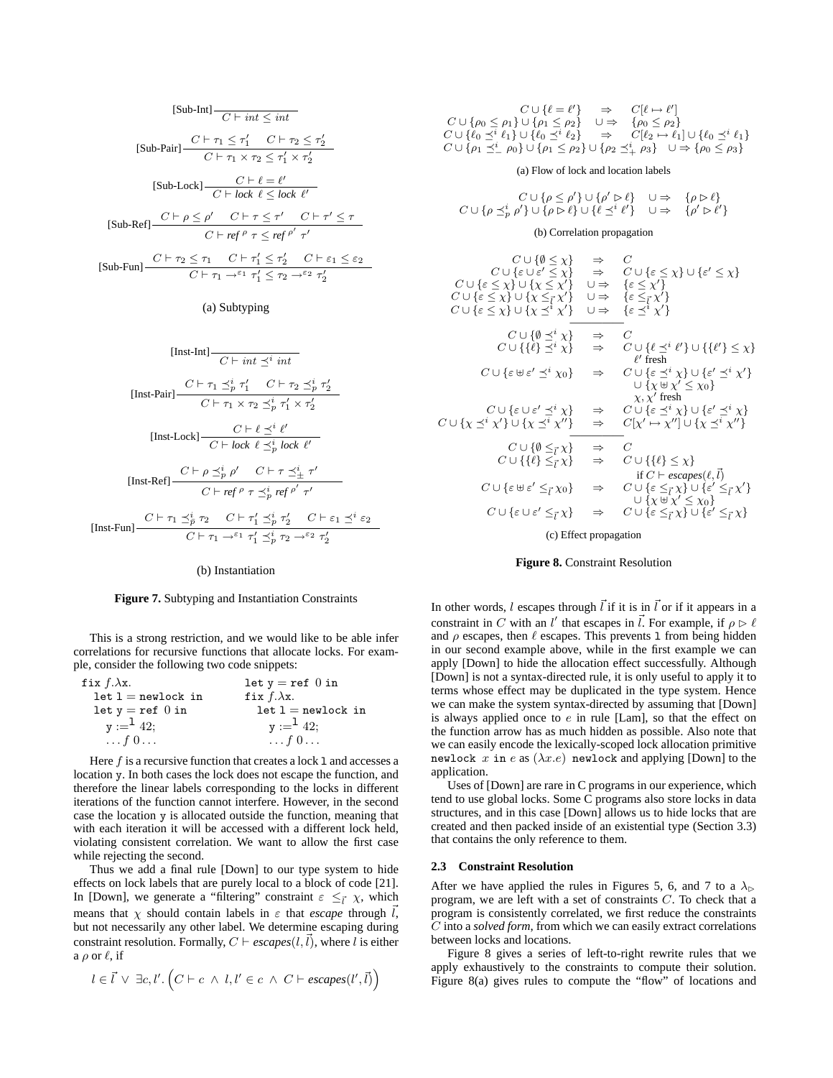$$
[\text{Sub-Int}] \xrightarrow{C \vdash int} \leq int
$$
\n
$$
[\text{Sub-Pair}] \xrightarrow{C \vdash \tau_1 \leq \tau'_1} C \vdash \tau_2 \leq \tau'_2
$$
\n
$$
[\text{Sub-Lock}] \xrightarrow{C \vdash \ell} \ell' \leq \tau'_1 \times \tau'_2
$$
\n
$$
[\text{Sub-Lock}] \xrightarrow{C \vdash \ell} \ell' \leq \text{lock } \ell'
$$
\n
$$
[\text{Sub-Ref}] \xrightarrow{C \vdash \rho \leq \rho'} C \vdash \tau \leq \tau' \quad C \vdash \tau' \leq \tau
$$
\n
$$
C \vdash \text{ref } \rho \tau \leq \text{ref } \rho' \tau'
$$
\n
$$
[\text{Sub-Fun}] \xrightarrow{C \vdash \tau_2} \tau_1 \quad C \vdash \tau'_1 \leq \tau'_2 \quad C \vdash \varepsilon_1 \leq \varepsilon_2
$$
\n
$$
C \vdash \tau_1 \rightarrow^{\varepsilon_1} \tau'_1 \leq \tau_2 \rightarrow^{\varepsilon_2} \tau'_2
$$

#### (a) Subtyping

[Inst-Int] 
$$
\frac{C \vdash \text{int} \preceq^i \text{int}}{C \vdash \text{int} \preceq^i \text{int}}
$$
\n[Inst-Pair] 
$$
\frac{C \vdash \tau_1 \preceq^i_p \tau'_1 \quad C \vdash \tau_2 \preceq^i_p \tau'_2}{C \vdash \tau_1 \times \tau_2 \preceq^i_p \tau'_1 \times \tau'_2}
$$
\n[Inst-Lock] 
$$
\frac{C \vdash \ell \preceq^i \ell'}{C \vdash lock \ell \preceq^i_p lock \ell'}
$$
\n[Inst-Ref] 
$$
\frac{C \vdash \rho \preceq^i_p \rho' \quad C \vdash \tau \preceq^i_\pm \tau'}{C \vdash \text{ref} \rho \tau \preceq^i_p \text{ref} \rho' \tau'}
$$
\n[Inst-Fun] 
$$
\frac{C \vdash \tau_1 \preceq^i_p \tau_2 \quad C \vdash \tau'_1 \preceq^i_p \tau'_2 \quad C \vdash \varepsilon_1 \preceq^i \varepsilon_2}{C \vdash \tau_1 \rightarrow^{\varepsilon_1} \tau'_1 \preceq^i_p \tau_2 \rightarrow^{\varepsilon_2} \tau'_2}
$$

#### (b) Instantiation

#### **Figure 7.** Subtyping and Instantiation Constraints

This is a strong restriction, and we would like to be able infer correlations for recursive functions that allocate locks. For example, consider the following two code snippets:

| fix $f.\lambda x$ .     | let $y = ref$ 0 in      |
|-------------------------|-------------------------|
| $let 1 = newlock in$    | fix $f.\lambda x$ .     |
| let $y = ref$ 0 in      | $let 1 = newlock in$    |
| $y :=$ <sup>1</sup> 42; | $y :=$ <sup>1</sup> 42; |
| $\ldots f\,0\ldots$     | $\ldots f\,0\ldots$     |

Here  $f$  is a recursive function that creates a lock 1 and accesses a location y. In both cases the lock does not escape the function, and therefore the linear labels corresponding to the locks in different iterations of the function cannot interfere. However, in the second case the location y is allocated outside the function, meaning that with each iteration it will be accessed with a different lock held, violating consistent correlation. We want to allow the first case while rejecting the second.

Thus we add a final rule [Down] to our type system to hide effects on lock labels that are purely local to a block of code [21]. In [Down], we generate a "filtering" constraint  $\varepsilon \leq \vec{l} \chi$ , which means that  $\chi$  should contain labels in  $\varepsilon$  that *escape* through  $\vec{l}$ , but not necessarily any other label. We determine escaping during constraint resolution. Formally,  $C \vdash \text{escapes}(l, l)$ , where l is either a  $\rho$  or  $\ell$ , if

$$
l \in \vec{l} \lor \exists c, l'.\left(C \vdash c \land l, l' \in c \land C \vdash escapes(l', \vec{l})\right)
$$

| $C \cup \{\ell = \ell'\} \Rightarrow C \ell \mapsto \ell' $                                                                                             |  |
|---------------------------------------------------------------------------------------------------------------------------------------------------------|--|
| $C \cup {\rho_0 \leq \rho_1} \cup {\rho_1 \leq \rho_2} \quad \cup \Rightarrow \quad {\rho_0 \leq \rho_2}$                                               |  |
| $C \cup \{\ell_0 \preceq^i \ell_1\} \cup \{\ell_0 \preceq^i \ell_2\} \quad \Rightarrow \quad C[\ell_2 \mapsto \ell_1] \cup \{\ell_0 \preceq^i \ell_1\}$ |  |
| $C \cup \{\rho_1 \preceq^i_{-} \rho_0\} \cup \{\rho_1 \leq \rho_2\} \cup \{\rho_2 \preceq^i_{+} \rho_3\} \quad \cup \Rightarrow \{\rho_0 \leq \rho_3\}$ |  |

(a) Flow of lock and location labels

$$
\begin{array}{ccc}C\cup\{\rho\leq\rho'\}\cup\{\rho'\vartriangleright\ell\}&\cup\Rightarrow&\{\rho\vartriangleright\ell\}\\C\cup\{\rho\preceq^i_p\rho'\}\cup\{\rho\vartriangleright\ell\}\cup\{\ell\preceq^i\ell'\}&\cup\Rightarrow&\{\rho'\vartriangleright\ell'\}\end{array}
$$

#### (b) Correlation propagation

$$
C \cup \{\emptyset \leq \chi\} \Rightarrow C
$$
  
\n
$$
C \cup \{\varepsilon \leq \chi\} \cup \{\chi \leq \chi'\} \Rightarrow C \cup \{\varepsilon \leq \chi\} \cup \{\varepsilon' \leq \chi\}
$$
  
\n
$$
C \cup \{\varepsilon \leq \chi\} \cup \{\chi \leq \chi'\} \cup \Rightarrow \{\varepsilon \leq \chi'\}
$$
  
\n
$$
C \cup \{\varepsilon \leq \chi\} \cup \{\chi \leq \chi'\} \cup \Rightarrow \{\varepsilon \leq \chi'\}
$$
  
\n
$$
C \cup \{\varepsilon \leq \chi\} \cup \{\chi \leq \chi'\} \Rightarrow C
$$
  
\n
$$
C \cup \{\{\emptyset \leq^i \chi\} \Rightarrow C
$$
  
\n
$$
C \cup \{\{\emptyset \leq^i \chi\} \Rightarrow C \cup \{\emptyset \leq^i \ell'\} \cup \{\{\ell'\} \leq \chi\}
$$
  
\n
$$
C \cup \{\varepsilon \oplus \varepsilon' \leq^i \chi_0\} \Rightarrow C \cup \{\varepsilon \leq^i \chi'\} \cup \{\varepsilon' \leq^i \chi'\}
$$
  
\n
$$
C \cup \{\varepsilon \oplus \varepsilon' \leq^i \chi\} \Rightarrow C \cup \{\varepsilon \leq^i \chi\} \cup \{\varepsilon' \leq^i \chi'\}
$$
  
\n
$$
C \cup \{\varepsilon \cup \varepsilon' \leq^i \chi\} \Rightarrow C \cup \{\varepsilon \leq^i \chi\} \cup \{\varepsilon' \leq^i \chi'\}
$$
  
\n
$$
C \cup \{\varepsilon \cup \varepsilon' \leq^i \chi'\} \Rightarrow C \cup \{\varepsilon \leq^i \chi\} \cup \{\varepsilon' \leq^i \chi'\}
$$
  
\n
$$
C \cup \{\{\emptyset \leq^i \chi\} \Rightarrow C
$$
  
\n
$$
C \cup \{\{\emptyset \leq^i \chi\} \Rightarrow C
$$
  
\n
$$
C \cup \{\{\varepsilon \geq^i \chi\} \Rightarrow C \cup \{\{\ell\} \leq \chi\}
$$
  
\n
$$
C \cup \{\varepsilon \in \{\varepsilon\} \
$$

(c) Effect propagation

#### **Figure 8.** Constraint Resolution

In other words, l escapes through  $\vec{l}$  if it is in  $\vec{l}$  or if it appears in a constraint in C with an l' that escapes in  $\vec{l}$ . For example, if  $\rho \triangleright \ell$ and  $\rho$  escapes, then  $\ell$  escapes. This prevents 1 from being hidden in our second example above, while in the first example we can apply [Down] to hide the allocation effect successfully. Although [Down] is not a syntax-directed rule, it is only useful to apply it to terms whose effect may be duplicated in the type system. Hence we can make the system syntax-directed by assuming that [Down] is always applied once to  $e$  in rule [Lam], so that the effect on the function arrow has as much hidden as possible. Also note that we can easily encode the lexically-scoped lock allocation primitive newlock x in e as  $(\lambda x.e)$  newlock and applying [Down] to the application.

Uses of [Down] are rare in C programs in our experience, which tend to use global locks. Some C programs also store locks in data structures, and in this case [Down] allows us to hide locks that are created and then packed inside of an existential type (Section 3.3) that contains the only reference to them.

## **2.3 Constraint Resolution**

After we have applied the rules in Figures 5, 6, and 7 to a  $\lambda_{\triangleright}$ program, we are left with a set of constraints C. To check that a program is consistently correlated, we first reduce the constraints C into a *solved form*, from which we can easily extract correlations between locks and locations.

Figure 8 gives a series of left-to-right rewrite rules that we apply exhaustively to the constraints to compute their solution. Figure 8(a) gives rules to compute the "flow" of locations and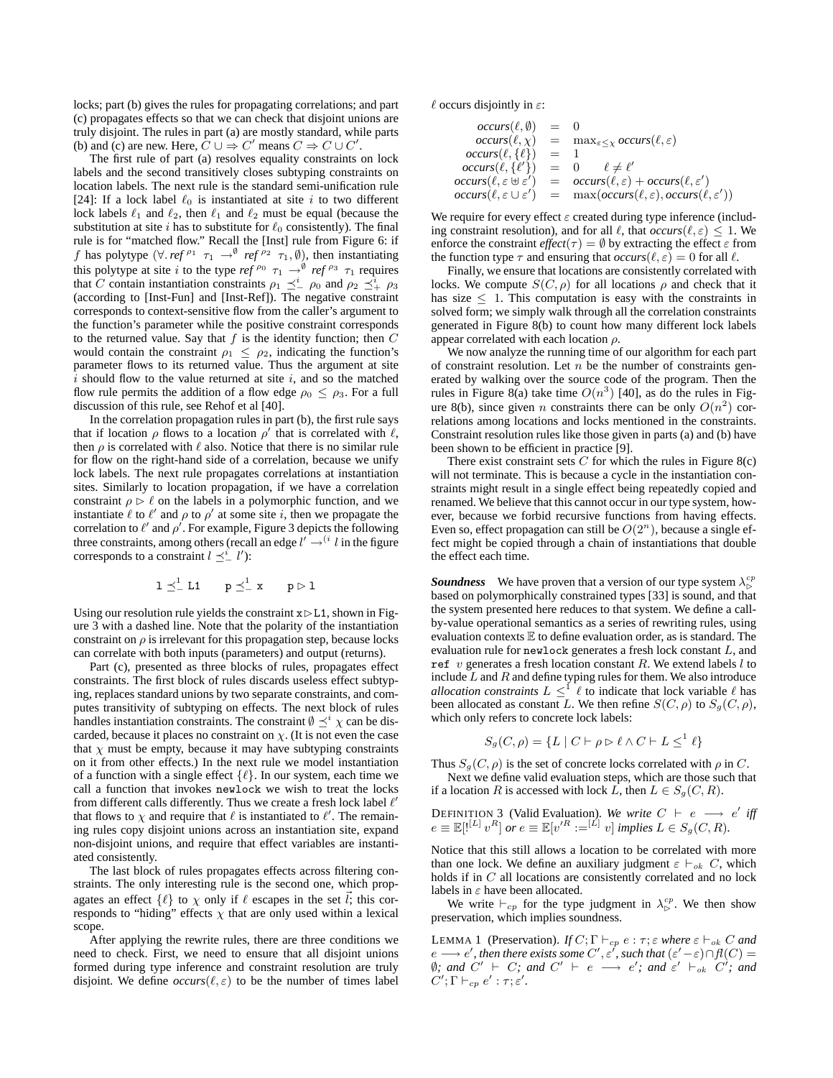locks; part (b) gives the rules for propagating correlations; and part (c) propagates effects so that we can check that disjoint unions are truly disjoint. The rules in part (a) are mostly standard, while parts (b) and (c) are new. Here,  $C \cup \Rightarrow C'$  means  $C \Rightarrow C \cup C'$ .

The first rule of part (a) resolves equality constraints on lock labels and the second transitively closes subtyping constraints on location labels. The next rule is the standard semi-unification rule [24]: If a lock label  $\ell_0$  is instantiated at site i to two different lock labels  $\ell_1$  and  $\ell_2$ , then  $\ell_1$  and  $\ell_2$  must be equal (because the substitution at site i has to substitute for  $\ell_0$  consistently). The final rule is for "matched flow." Recall the [Inst] rule from Figure 6: if f has polytype  $(\forall \text{.} \text{ref}^{\rho_1} \tau_1 \rightarrow^{\emptyset} \text{ref}^{\rho_2} \tau_1, \emptyset)$ , then instantiating this polytype at site i to the type ref<sup> $\rho_0$ </sup>  $\tau_1 \rightarrow^{\emptyset}$  ref<sup> $\rho_3$ </sup>  $\tau_1$  requires that C contain instantiation constraints  $\rho_1 \preceq^i_{-} \rho_0$  and  $\rho_2 \preceq^i_{+} \rho_3$ (according to [Inst-Fun] and [Inst-Ref]). The negative constraint corresponds to context-sensitive flow from the caller's argument to the function's parameter while the positive constraint corresponds to the returned value. Say that  $f$  is the identity function; then  $C$ would contain the constraint  $\rho_1 \leq \rho_2$ , indicating the function's parameter flows to its returned value. Thus the argument at site  $i$  should flow to the value returned at site  $i$ , and so the matched flow rule permits the addition of a flow edge  $\rho_0 \leq \rho_3$ . For a full discussion of this rule, see Rehof et al [40].

In the correlation propagation rules in part (b), the first rule says that if location  $\rho$  flows to a location  $\rho'$  that is correlated with  $\ell$ , then  $\rho$  is correlated with  $\ell$  also. Notice that there is no similar rule for flow on the right-hand side of a correlation, because we unify lock labels. The next rule propagates correlations at instantiation sites. Similarly to location propagation, if we have a correlation constraint  $\rho \triangleright \ell$  on the labels in a polymorphic function, and we instantiate  $\ell$  to  $\ell'$  and  $\rho$  to  $\rho'$  at some site i, then we propagate the correlation to  $\ell'$  and  $\rho'$ . For example, Figure 3 depicts the following three constraints, among others (recall an edge  $l' \rightarrow$ <sup>(i</sup> l in the figure corresponds to a constraint  $l \preceq_{-}^{i} l'$ ):

$$
1\preceq^1_- L1 \qquad p\preceq^1_- x \qquad p\rhd 1
$$

Using our resolution rule yields the constraint  $x \triangleright L1$ , shown in Figure 3 with a dashed line. Note that the polarity of the instantiation constraint on  $\rho$  is irrelevant for this propagation step, because locks can correlate with both inputs (parameters) and output (returns).

Part (c), presented as three blocks of rules, propagates effect constraints. The first block of rules discards useless effect subtyping, replaces standard unions by two separate constraints, and computes transitivity of subtyping on effects. The next block of rules handles instantiation constraints. The constraint  $\emptyset \preceq^i \chi$  can be discarded, because it places no constraint on  $\chi$ . (It is not even the case that  $\chi$  must be empty, because it may have subtyping constraints on it from other effects.) In the next rule we model instantiation of a function with a single effect  $\{\ell\}$ . In our system, each time we call a function that invokes newlock we wish to treat the locks from different calls differently. Thus we create a fresh lock label  $\ell'$ that flows to  $\chi$  and require that  $\ell$  is instantiated to  $\ell'$ . The remaining rules copy disjoint unions across an instantiation site, expand non-disjoint unions, and require that effect variables are instantiated consistently.

The last block of rules propagates effects across filtering constraints. The only interesting rule is the second one, which propagates an effect  $\{\ell\}$  to  $\chi$  only if  $\ell$  escapes in the set  $\vec{l}$ ; this corresponds to "hiding" effects  $\chi$  that are only used within a lexical scope.

After applying the rewrite rules, there are three conditions we need to check. First, we need to ensure that all disjoint unions formed during type inference and constraint resolution are truly disjoint. We define  $occurs(\ell, \varepsilon)$  to be the number of times label  $\ell$  occurs disjointly in  $\varepsilon$ :

$$
occurs(\ell, \emptyset) = 0
$$
  
\n
$$
occurs(\ell, \chi) = \max_{\varepsilon \leq \chi} occurs(\ell, \varepsilon)
$$
  
\n
$$
occurs(\ell, \{\ell\}) = 1
$$
  
\n
$$
occurs(\ell, \{\ell'\}) = 0 \quad \ell \neq \ell'
$$
  
\n
$$
occurs(\ell, \varepsilon \uplus \varepsilon') = occurs(\ell, \varepsilon) + occurs(\ell, \varepsilon')
$$
  
\n
$$
occurs(\ell, \varepsilon \cup \varepsilon') = \max(occurs(\ell, \varepsilon), occurs(\ell, \varepsilon'))
$$

We require for every effect  $\varepsilon$  created during type inference (including constraint resolution), and for all  $\ell$ , that  $occurs(\ell, \varepsilon) \leq 1$ . We enforce the constraint  $effect(\tau) = \emptyset$  by extracting the effect  $\varepsilon$  from the function type  $\tau$  and ensuring that  $occurs(\ell, \varepsilon) = 0$  for all  $\ell$ .

Finally, we ensure that locations are consistently correlated with locks. We compute  $S(C, \rho)$  for all locations  $\rho$  and check that it has size  $\leq$  1. This computation is easy with the constraints in solved form; we simply walk through all the correlation constraints generated in Figure 8(b) to count how many different lock labels appear correlated with each location  $\rho$ .

We now analyze the running time of our algorithm for each part of constraint resolution. Let  $n$  be the number of constraints generated by walking over the source code of the program. Then the rules in Figure 8(a) take time  $O(n^3)$  [40], as do the rules in Figure 8(b), since given *n* constraints there can be only  $O(n^2)$  correlations among locations and locks mentioned in the constraints. Constraint resolution rules like those given in parts (a) and (b) have been shown to be efficient in practice [9].

There exist constraint sets  $C$  for which the rules in Figure 8(c) will not terminate. This is because a cycle in the instantiation constraints might result in a single effect being repeatedly copied and renamed. We believe that this cannot occur in our type system, however, because we forbid recursive functions from having effects. Even so, effect propagation can still be  $O(2^n)$ , because a single effect might be copied through a chain of instantiations that double the effect each time.

**Soundness** We have proven that a version of our type system  $\lambda_{\infty}^{cp}$ based on polymorphically constrained types [33] is sound, and that the system presented here reduces to that system. We define a callby-value operational semantics as a series of rewriting rules, using evaluation contexts  $E$  to define evaluation order, as is standard. The evaluation rule for newlock generates a fresh lock constant L, and ref  $v$  generates a fresh location constant  $R$ . We extend labels  $l$  to include  $L$  and  $R$  and define typing rules for them. We also introduce *allocation constraints*  $L \leq^{1} \ell$  to indicate that lock variable  $\ell$  has been allocated as constant L. We then refine  $S(C, \rho)$  to  $S_q(C, \rho)$ , which only refers to concrete lock labels:

$$
S_g(C, \rho) = \{ L \mid C \vdash \rho \rhd \ell \land C \vdash L \le^1 \ell \}
$$

Thus  $S_q(C, \rho)$  is the set of concrete locks correlated with  $\rho$  in C. Next we define valid evaluation steps, which are those such that

if a location R is accessed with lock L, then  $L \in S<sub>g</sub>(C, R)$ .

DEFINITION 3 (Valid Evaluation). We write 
$$
C \vdash e \longrightarrow e'
$$
 iff  $e \equiv \mathbb{E}[l^{[L]} v^R]$  or  $e \equiv \mathbb{E}[v'^R := [L] v]$  implies  $L \in S_g(C, R)$ .

Notice that this still allows a location to be correlated with more than one lock. We define an auxiliary judgment  $\varepsilon \vdash_{ok} C$ , which holds if in C all locations are consistently correlated and no lock labels in  $\varepsilon$  have been allocated.

We write  $\vdash_{cp}$  for the type judgment in  $\lambda_{\triangleright}^{cp}$ . We then show preservation, which implies soundness.

**LEMMA 1** (Preservation). *If*  $C$ ;  $\Gamma \vdash_{cp} e : \tau$ ;  $\varepsilon$  *where*  $\varepsilon \vdash_{ok} C$  *and*  $e \longrightarrow e'$ , then there exists some  $C', \varepsilon'$ , such that  $(\varepsilon' - \varepsilon) \cap f(C) =$  $\emptyset$ *;* and C' + c → e'; and ε' +<sub>ok</sub> C'; and  $C'; \Gamma \vdash_{cp} e' : \tau; \varepsilon'.$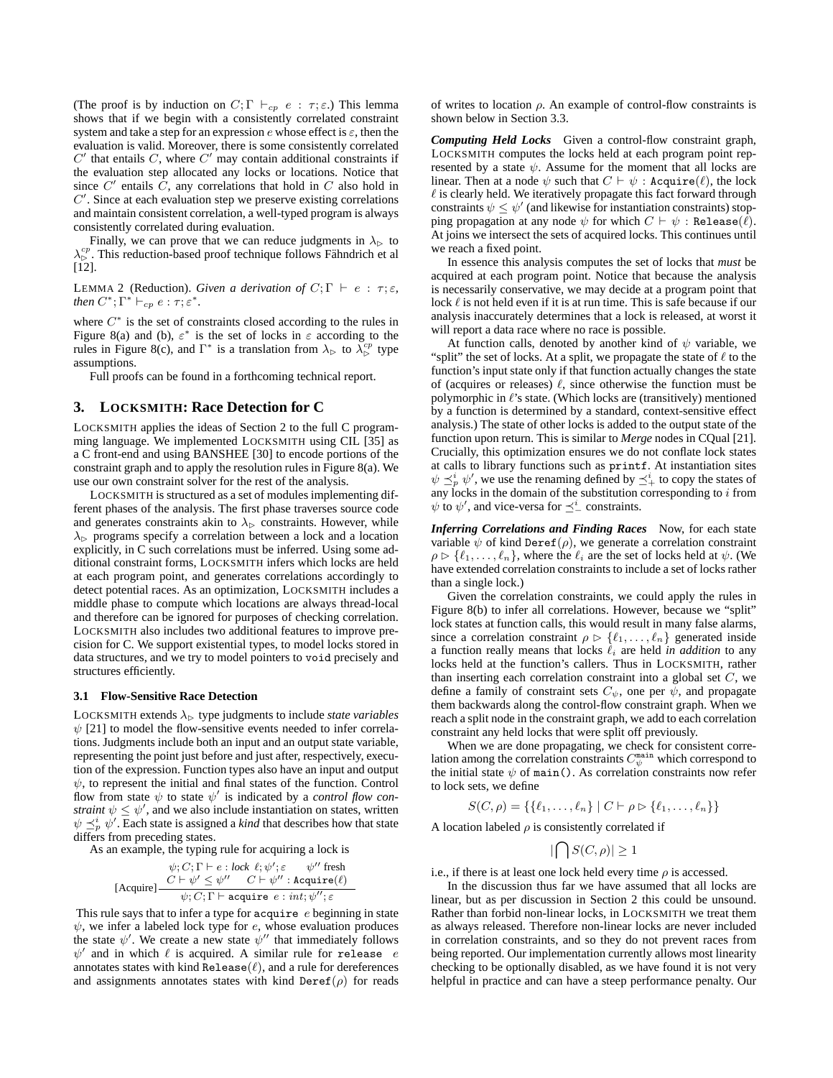(The proof is by induction on  $C; \Gamma \vdash_{cp} e : \tau; \varepsilon$ .) This lemma shows that if we begin with a consistently correlated constraint system and take a step for an expression  $e$  whose effect is  $\varepsilon$ , then the evaluation is valid. Moreover, there is some consistently correlated  $C'$  that entails  $C$ , where  $C'$  may contain additional constraints if the evaluation step allocated any locks or locations. Notice that since  $C'$  entails  $\tilde{C}$ , any correlations that hold in  $C$  also hold in  $C'$ . Since at each evaluation step we preserve existing correlations and maintain consistent correlation, a well-typed program is always consistently correlated during evaluation.

Finally, we can prove that we can reduce judgments in  $\lambda_{\triangleright}$  to  $\lambda_{\rm b}^{cp}$ . This reduction-based proof technique follows Fähndrich et al [12].

LEMMA 2 (Reduction). *Given a derivation of*  $C; \Gamma \vdash e : \tau; \varepsilon$ , *then*  $C^*$ ;  $\Gamma^* \vdash_{cp} e : \tau; \varepsilon^*$ *.* 

where  $C^*$  is the set of constraints closed according to the rules in Figure 8(a) and (b),  $\varepsilon^*$  is the set of locks in  $\varepsilon$  according to the rules in Figure 8(c), and  $\Gamma^*$  is a translation from  $\lambda_{\triangleright}$  to  $\lambda_{\triangleright}^{cp}$  type assumptions.

Full proofs can be found in a forthcoming technical report.

## **3. LOCKSMITH: Race Detection for C**

LOCKSMITH applies the ideas of Section 2 to the full C programming language. We implemented LOCKSMITH using CIL [35] as a C front-end and using BANSHEE [30] to encode portions of the constraint graph and to apply the resolution rules in Figure 8(a). We use our own constraint solver for the rest of the analysis.

LOCKSMITH is structured as a set of modules implementing different phases of the analysis. The first phase traverses source code and generates constraints akin to  $\lambda_{\triangleright}$  constraints. However, while  $\lambda_{\triangleright}$  programs specify a correlation between a lock and a location explicitly, in C such correlations must be inferred. Using some additional constraint forms, LOCKSMITH infers which locks are held at each program point, and generates correlations accordingly to detect potential races. As an optimization, LOCKSMITH includes a middle phase to compute which locations are always thread-local and therefore can be ignored for purposes of checking correlation. LOCKSMITH also includes two additional features to improve precision for C. We support existential types, to model locks stored in data structures, and we try to model pointers to void precisely and structures efficiently.

#### **3.1 Flow-Sensitive Race Detection**

LOCKSMITH extends  $\lambda_{\triangleright}$  type judgments to include *state variables*  $\psi$  [21] to model the flow-sensitive events needed to infer correlations. Judgments include both an input and an output state variable, representing the point just before and just after, respectively, execution of the expression. Function types also have an input and output  $\psi$ , to represent the initial and final states of the function. Control flow from state  $\psi$  to state  $\psi'$  is indicated by a *control flow constraint*  $\psi \leq \psi'$ , and we also include instantiation on states, written  $\psi \preceq_p^i \psi'$ . Each state is assigned a *kind* that describes how that state differs from preceding states.

As an example, the typing rule for acquiring a lock is

$$
\psi; C; \Gamma \vdash e : lock \ \ell; \psi'; \varepsilon \qquad \psi'' \ \text{ fresh} \ \text{[Acquire]} \frac{C \vdash \psi' \leq \psi'' \quad C \vdash \psi'' : \text{Acquire}(\ell)}{\psi; C; \Gamma \vdash \text{acquire } e : int; \psi''; \varepsilon}
$$

This rule says that to infer a type for acquire  $e$  beginning in state  $\psi$ , we infer a labeled lock type for  $e$ , whose evaluation produces the state  $\psi'$ . We create a new state  $\psi''$  that immediately follows  $\psi'$  and in which  $\ell$  is acquired. A similar rule for release e annotates states with kind Release $(\ell)$ , and a rule for dereferences and assignments annotates states with kind  $\text{Der}\{\rho\}$  for reads of writes to location  $\rho$ . An example of control-flow constraints is shown below in Section 3.3.

*Computing Held Locks* Given a control-flow constraint graph, LOCKSMITH computes the locks held at each program point represented by a state  $\psi$ . Assume for the moment that all locks are linear. Then at a node  $\psi$  such that  $C \vdash \psi :$  Acquire( $\ell$ ), the lock  $\ell$  is clearly held. We iteratively propagate this fact forward through constraints  $\psi \leq \psi'$  (and likewise for instantiation constraints) stopping propagation at any node  $\psi$  for which  $C \vdash \psi$ : Release( $\ell$ ). At joins we intersect the sets of acquired locks. This continues until we reach a fixed point.

In essence this analysis computes the set of locks that *must* be acquired at each program point. Notice that because the analysis is necessarily conservative, we may decide at a program point that lock  $\ell$  is not held even if it is at run time. This is safe because if our analysis inaccurately determines that a lock is released, at worst it will report a data race where no race is possible.

At function calls, denoted by another kind of  $\psi$  variable, we "split" the set of locks. At a split, we propagate the state of  $\ell$  to the function's input state only if that function actually changes the state of (acquires or releases)  $\ell$ , since otherwise the function must be polymorphic in  $\ell$ 's state. (Which locks are (transitively) mentioned by a function is determined by a standard, context-sensitive effect analysis.) The state of other locks is added to the output state of the function upon return. This is similar to *Merge* nodes in CQual [21]. Crucially, this optimization ensures we do not conflate lock states at calls to library functions such as printf. At instantiation sites  $\psi \preceq^i_p \psi'$ , we use the renaming defined by  $\preceq^i_+$  to copy the states of any locks in the domain of the substitution corresponding to  $i$  from  $\psi$  to  $\psi'$ , and vice-versa for  $\preceq^i_{-}$  constraints.

*Inferring Correlations and Finding Races* Now, for each state variable  $\psi$  of kind Deref( $\rho$ ), we generate a correlation constraint  $\rho \triangleright \{\ell_1, \ldots, \ell_n\}$ , where the  $\ell_i$  are the set of locks held at  $\psi$ . (We have extended correlation constraints to include a set of locks rather than a single lock.)

Given the correlation constraints, we could apply the rules in Figure 8(b) to infer all correlations. However, because we "split" lock states at function calls, this would result in many false alarms, since a correlation constraint  $\rho \triangleright \{ \ell_1, \ldots, \ell_n \}$  generated inside a function really means that locks  $\ell_i$  are held *in addition* to any locks held at the function's callers. Thus in LOCKSMITH, rather than inserting each correlation constraint into a global set  $C$ , we define a family of constraint sets  $C_{\psi}$ , one per  $\psi$ , and propagate them backwards along the control-flow constraint graph. When we reach a split node in the constraint graph, we add to each correlation constraint any held locks that were split off previously.

When we are done propagating, we check for consistent correlation among the correlation constraints  $C_{\psi}^{\text{main}}$  which correspond to the initial state  $\psi$  of main(). As correlation constraints now refer to lock sets, we define

$$
S(C, \rho) = \{ \{ \ell_1, \ldots, \ell_n \} \mid C \vdash \rho \rhd \{ \ell_1, \ldots, \ell_n \} \}
$$

A location labeled  $\rho$  is consistently correlated if

$$
|\bigcap S(C,\rho)| \ge 1
$$

i.e., if there is at least one lock held every time  $\rho$  is accessed.

In the discussion thus far we have assumed that all locks are linear, but as per discussion in Section 2 this could be unsound. Rather than forbid non-linear locks, in LOCKSMITH we treat them as always released. Therefore non-linear locks are never included in correlation constraints, and so they do not prevent races from being reported. Our implementation currently allows most linearity checking to be optionally disabled, as we have found it is not very helpful in practice and can have a steep performance penalty. Our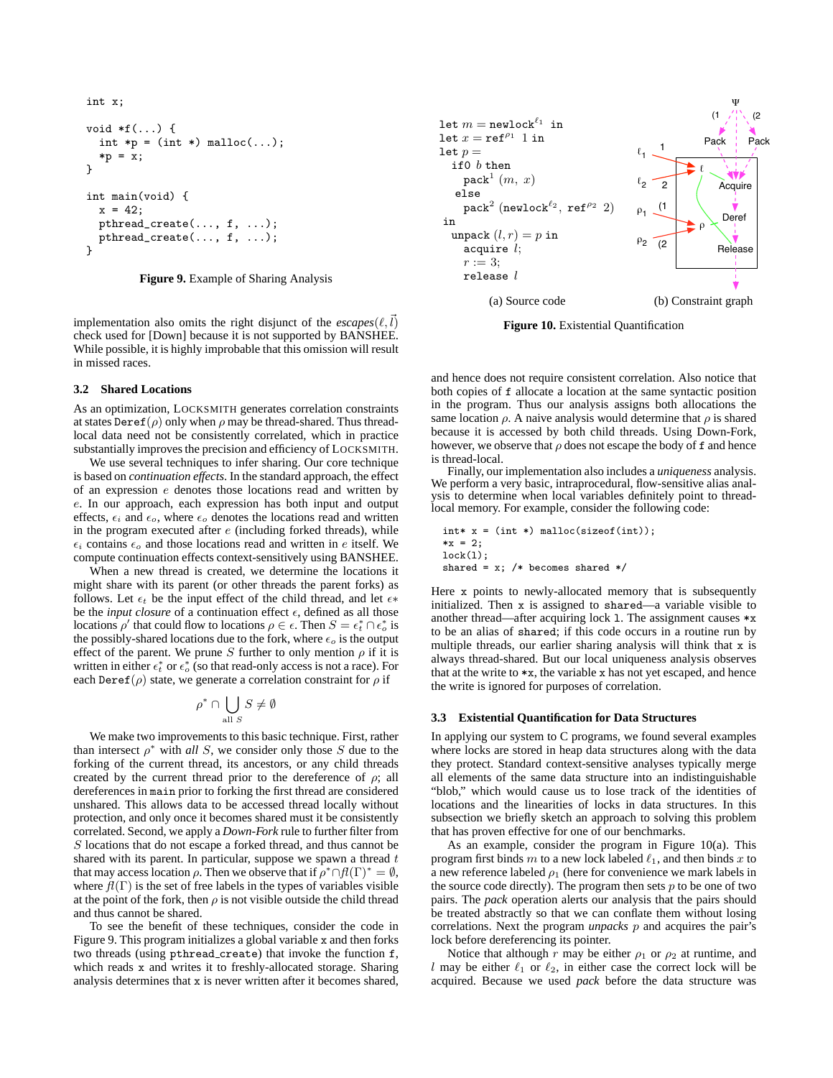```
int x;
void *f(...) {
  int *p = (int *) <math>mallrowright</math> (…);*p = x;}
int main(void) {
  x = 42;
  pthread_create(..., f, ...);
  pthread_create(..., f, ...);
}
```
**Figure 9.** Example of Sharing Analysis

implementation also omits the right disjunct of the  $\text{excapes}(\ell, l)$ check used for [Down] because it is not supported by BANSHEE. While possible, it is highly improbable that this omission will result in missed races.

#### **3.2 Shared Locations**

As an optimization, LOCKSMITH generates correlation constraints at states  $\text{Der}(\rho)$  only when  $\rho$  may be thread-shared. Thus threadlocal data need not be consistently correlated, which in practice substantially improves the precision and efficiency of LOCKSMITH.

We use several techniques to infer sharing. Our core technique is based on *continuation effects*. In the standard approach, the effect of an expression e denotes those locations read and written by e. In our approach, each expression has both input and output effects,  $\epsilon_i$  and  $\epsilon_o$ , where  $\epsilon_o$  denotes the locations read and written in the program executed after  $e$  (including forked threads), while  $\epsilon_i$  contains  $\epsilon_o$  and those locations read and written in e itself. We compute continuation effects context-sensitively using BANSHEE.

When a new thread is created, we determine the locations it might share with its parent (or other threads the parent forks) as follows. Let  $\epsilon_t$  be the input effect of the child thread, and let  $\epsilon^*$ be the *input closure* of a continuation effect  $\epsilon$ , defined as all those locations  $\rho'$  that could flow to locations  $\rho \in \epsilon$ . Then  $S = \epsilon_t^* \cap \epsilon_o^*$  is the possibly-shared locations due to the fork, where  $\epsilon_0$  is the output effect of the parent. We prune S further to only mention  $\rho$  if it is written in either  $\epsilon_t^*$  or  $\epsilon_o^*$  (so that read-only access is not a race). For each Deref( $\rho$ ) state, we generate a correlation constraint for  $\rho$  if

$$
\rho^* \cap \bigcup_{\text{all } S} S \neq \emptyset
$$

We make two improvements to this basic technique. First, rather than intersect  $\rho^*$  with *all* S, we consider only those S due to the forking of the current thread, its ancestors, or any child threads created by the current thread prior to the dereference of  $\rho$ ; all dereferences in main prior to forking the first thread are considered unshared. This allows data to be accessed thread locally without protection, and only once it becomes shared must it be consistently correlated. Second, we apply a *Down-Fork* rule to further filter from S locations that do not escape a forked thread, and thus cannot be shared with its parent. In particular, suppose we spawn a thread  $t$ that may access location  $\rho$ . Then we observe that if  $\rho^* \cap fl(\Gamma)^* = \emptyset$ , where  $f(\Gamma)$  is the set of free labels in the types of variables visible at the point of the fork, then  $\rho$  is not visible outside the child thread and thus cannot be shared.

To see the benefit of these techniques, consider the code in Figure 9. This program initializes a global variable x and then forks two threads (using pthread create) that invoke the function f, which reads x and writes it to freshly-allocated storage. Sharing analysis determines that x is never written after it becomes shared,



**Figure 10.** Existential Quantification

and hence does not require consistent correlation. Also notice that both copies of f allocate a location at the same syntactic position in the program. Thus our analysis assigns both allocations the same location  $\rho$ . A naive analysis would determine that  $\rho$  is shared because it is accessed by both child threads. Using Down-Fork, however, we observe that  $\rho$  does not escape the body of f and hence is thread-local.

Finally, our implementation also includes a *uniqueness* analysis. We perform a very basic, intraprocedural, flow-sensitive alias analysis to determine when local variables definitely point to threadlocal memory. For example, consider the following code:

```
\text{int} * x = (\text{int} *) \text{ malloc}(\text{sizeof}(\text{int}));*x = 2;lock(l);
shared = x; /* becomes shared */
```
Here x points to newly-allocated memory that is subsequently initialized. Then x is assigned to shared—a variable visible to another thread—after acquiring lock l. The assignment causes \*x to be an alias of shared; if this code occurs in a routine run by multiple threads, our earlier sharing analysis will think that x is always thread-shared. But our local uniqueness analysis observes that at the write to  $\ast x$ , the variable x has not yet escaped, and hence the write is ignored for purposes of correlation.

#### **3.3 Existential Quantification for Data Structures**

In applying our system to C programs, we found several examples where locks are stored in heap data structures along with the data they protect. Standard context-sensitive analyses typically merge all elements of the same data structure into an indistinguishable "blob," which would cause us to lose track of the identities of locations and the linearities of locks in data structures. In this subsection we briefly sketch an approach to solving this problem that has proven effective for one of our benchmarks.

As an example, consider the program in Figure 10(a). This program first binds m to a new lock labeled  $\ell_1$ , and then binds x to a new reference labeled  $\rho_1$  (here for convenience we mark labels in the source code directly). The program then sets  $p$  to be one of two pairs. The *pack* operation alerts our analysis that the pairs should be treated abstractly so that we can conflate them without losing correlations. Next the program *unpacks* p and acquires the pair's lock before dereferencing its pointer.

Notice that although r may be either  $\rho_1$  or  $\rho_2$  at runtime, and l may be either  $\ell_1$  or  $\ell_2$ , in either case the correct lock will be acquired. Because we used *pack* before the data structure was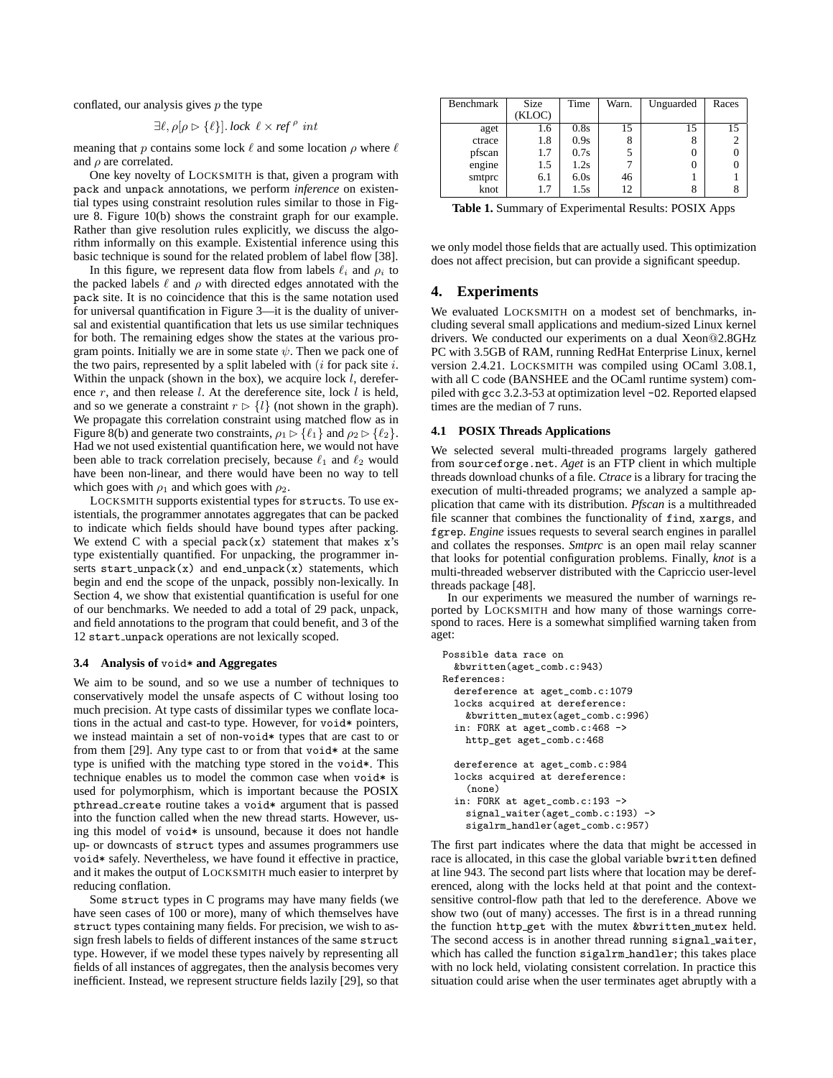conflated, our analysis gives  $p$  the type

$$
\exists \ell, \rho[\rho \rhd \{\ell\}].\,lock \ \ell \times \mathit{ref}^{\rho} \ int
$$

meaning that p contains some lock  $\ell$  and some location  $\rho$  where  $\ell$ and  $\rho$  are correlated.

One key novelty of LOCKSMITH is that, given a program with pack and unpack annotations, we perform *inference* on existential types using constraint resolution rules similar to those in Figure 8. Figure 10(b) shows the constraint graph for our example. Rather than give resolution rules explicitly, we discuss the algorithm informally on this example. Existential inference using this basic technique is sound for the related problem of label flow [38].

In this figure, we represent data flow from labels  $\ell_i$  and  $\rho_i$  to the packed labels  $\ell$  and  $\rho$  with directed edges annotated with the pack site. It is no coincidence that this is the same notation used for universal quantification in Figure 3—it is the duality of universal and existential quantification that lets us use similar techniques for both. The remaining edges show the states at the various program points. Initially we are in some state  $\psi$ . Then we pack one of the two pairs, represented by a split labeled with  $(i$  for pack site  $i$ . Within the unpack (shown in the box), we acquire lock  $l$ , dereference  $r$ , and then release  $l$ . At the dereference site, lock  $l$  is held, and so we generate a constraint  $r > \{l\}$  (not shown in the graph). We propagate this correlation constraint using matched flow as in Figure 8(b) and generate two constraints,  $\rho_1 \triangleright \{\ell_1\}$  and  $\rho_2 \triangleright \{\ell_2\}.$ Had we not used existential quantification here, we would not have been able to track correlation precisely, because  $\ell_1$  and  $\ell_2$  would have been non-linear, and there would have been no way to tell which goes with  $\rho_1$  and which goes with  $\rho_2$ .

LOCKSMITH supports existential types for structs. To use existentials, the programmer annotates aggregates that can be packed to indicate which fields should have bound types after packing. We extend C with a special  $pack(x)$  statement that makes x's type existentially quantified. For unpacking, the programmer inserts  $start\_unpack(x)$  and  $end\_unpack(x)$  statements, which begin and end the scope of the unpack, possibly non-lexically. In Section 4, we show that existential quantification is useful for one of our benchmarks. We needed to add a total of 29 pack, unpack, and field annotations to the program that could benefit, and 3 of the 12 start unpack operations are not lexically scoped.

## **3.4 Analysis of** void\* **and Aggregates**

We aim to be sound, and so we use a number of techniques to conservatively model the unsafe aspects of C without losing too much precision. At type casts of dissimilar types we conflate locations in the actual and cast-to type. However, for void\* pointers, we instead maintain a set of non-void\* types that are cast to or from them [29]. Any type cast to or from that void\* at the same type is unified with the matching type stored in the void\*. This technique enables us to model the common case when void\* is used for polymorphism, which is important because the POSIX pthread create routine takes a void\* argument that is passed into the function called when the new thread starts. However, using this model of void\* is unsound, because it does not handle up- or downcasts of struct types and assumes programmers use void\* safely. Nevertheless, we have found it effective in practice, and it makes the output of LOCKSMITH much easier to interpret by reducing conflation.

Some struct types in C programs may have many fields (we have seen cases of 100 or more), many of which themselves have struct types containing many fields. For precision, we wish to assign fresh labels to fields of different instances of the same struct type. However, if we model these types naively by representing all fields of all instances of aggregates, then the analysis becomes very inefficient. Instead, we represent structure fields lazily [29], so that

| Benchmark | <b>Size</b> | Time | Warn. | Unguarded | Races |
|-----------|-------------|------|-------|-----------|-------|
|           | (KLOC)      |      |       |           |       |
| aget      | 1.6         | 0.8s | 15    | 15        | 15    |
| ctrace    | 1.8         | 0.9s | 8     | δ         |       |
| pfscan    | 1.7         | 0.7s | 5     |           |       |
| engine    | 1.5         | 1.2s |       |           |       |
| smtprc    | 6.1         | 6.0s | 46    |           |       |
| knot      | 1.7         | 1.5s | 12    |           |       |

**Table 1.** Summary of Experimental Results: POSIX Apps

we only model those fields that are actually used. This optimization does not affect precision, but can provide a significant speedup.

# **4. Experiments**

We evaluated LOCKSMITH on a modest set of benchmarks, including several small applications and medium-sized Linux kernel drivers. We conducted our experiments on a dual Xeon@2.8GHz PC with 3.5GB of RAM, running RedHat Enterprise Linux, kernel version 2.4.21. LOCKSMITH was compiled using OCaml 3.08.1, with all C code (BANSHEE and the OCaml runtime system) compiled with gcc 3.2.3-53 at optimization level -O2. Reported elapsed times are the median of 7 runs.

## **4.1 POSIX Threads Applications**

We selected several multi-threaded programs largely gathered from sourceforge.net. *Aget* is an FTP client in which multiple threads download chunks of a file. *Ctrace* is a library for tracing the execution of multi-threaded programs; we analyzed a sample application that came with its distribution. *Pfscan* is a multithreaded file scanner that combines the functionality of find, xargs, and fgrep. *Engine* issues requests to several search engines in parallel and collates the responses. *Smtprc* is an open mail relay scanner that looks for potential configuration problems. Finally, *knot* is a multi-threaded webserver distributed with the Capriccio user-level threads package [48].

In our experiments we measured the number of warnings reported by LOCKSMITH and how many of those warnings correspond to races. Here is a somewhat simplified warning taken from aget:

```
Possible data race on
 &bwritten(aget_comb.c:943)
References:
 dereference at aget_comb.c:1079
 locks acquired at dereference:
   &bwritten_mutex(aget_comb.c:996)
  in: FORK at aget_comb.c:468 ->
   http_get aget_comb.c:468
  dereference at aget_comb.c:984
  locks acquired at dereference:
    (none)
  in: FORK at aget_comb.c:193 ->
   signal_waiter(aget_comb.c:193) ->
    sigalrm_handler(aget_comb.c:957)
```
The first part indicates where the data that might be accessed in race is allocated, in this case the global variable bwritten defined at line 943. The second part lists where that location may be dereferenced, along with the locks held at that point and the contextsensitive control-flow path that led to the dereference. Above we show two (out of many) accesses. The first is in a thread running the function http\_get with the mutex &bwritten\_mutex held. The second access is in another thread running signal waiter, which has called the function sigalrm handler; this takes place with no lock held, violating consistent correlation. In practice this situation could arise when the user terminates aget abruptly with a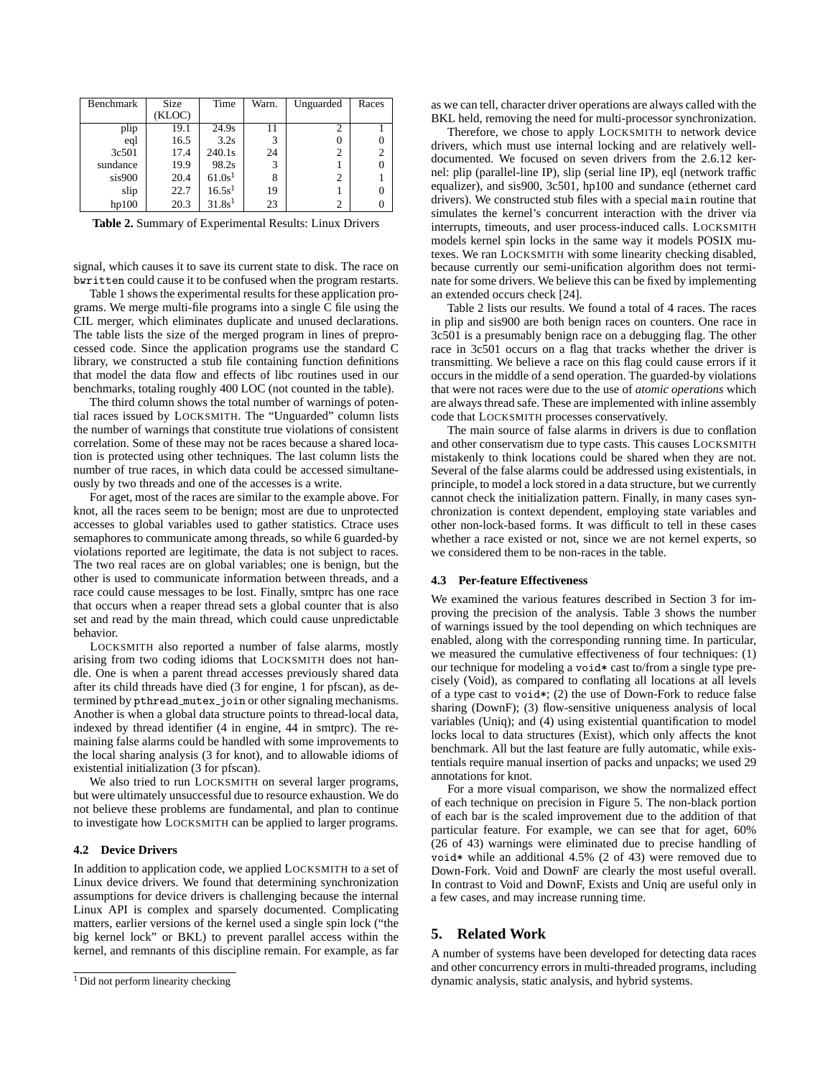| Benchmark | Size   | Time               | Warn. | Unguarded | Races |
|-----------|--------|--------------------|-------|-----------|-------|
|           | (KLOC) |                    |       |           |       |
| plip      | 19.1   | 24.9s              | 11    |           |       |
| eql       | 16.5   | 3.2s               | 3     |           |       |
| 3c501     | 17.4   | 240.1s             | 24    | 2         | 2     |
| sundance  | 19.9   | 98.2s              | 3     |           |       |
| sis900    | 20.4   | 61.0s <sup>1</sup> | 8     | 2         |       |
| slip      | 22.7   | 16.5s <sup>1</sup> | 19    |           |       |
| hp100     | 20.3   | 31.8s <sup>1</sup> | 23    | 2         |       |

**Table 2.** Summary of Experimental Results: Linux Drivers

signal, which causes it to save its current state to disk. The race on bwritten could cause it to be confused when the program restarts.

Table 1 shows the experimental results for these application programs. We merge multi-file programs into a single C file using the CIL merger, which eliminates duplicate and unused declarations. The table lists the size of the merged program in lines of preprocessed code. Since the application programs use the standard C library, we constructed a stub file containing function definitions that model the data flow and effects of libc routines used in our benchmarks, totaling roughly 400 LOC (not counted in the table).

The third column shows the total number of warnings of potential races issued by LOCKSMITH. The "Unguarded" column lists the number of warnings that constitute true violations of consistent correlation. Some of these may not be races because a shared location is protected using other techniques. The last column lists the number of true races, in which data could be accessed simultaneously by two threads and one of the accesses is a write.

For aget, most of the races are similar to the example above. For knot, all the races seem to be benign; most are due to unprotected accesses to global variables used to gather statistics. Ctrace uses semaphores to communicate among threads, so while 6 guarded-by violations reported are legitimate, the data is not subject to races. The two real races are on global variables; one is benign, but the other is used to communicate information between threads, and a race could cause messages to be lost. Finally, smtprc has one race that occurs when a reaper thread sets a global counter that is also set and read by the main thread, which could cause unpredictable behavior.

LOCKSMITH also reported a number of false alarms, mostly arising from two coding idioms that LOCKSMITH does not handle. One is when a parent thread accesses previously shared data after its child threads have died (3 for engine, 1 for pfscan), as determined by pthread mutex join or other signaling mechanisms. Another is when a global data structure points to thread-local data, indexed by thread identifier (4 in engine, 44 in smtprc). The remaining false alarms could be handled with some improvements to the local sharing analysis (3 for knot), and to allowable idioms of existential initialization (3 for pfscan).

We also tried to run LOCKSMITH on several larger programs, but were ultimately unsuccessful due to resource exhaustion. We do not believe these problems are fundamental, and plan to continue to investigate how LOCKSMITH can be applied to larger programs.

## **4.2 Device Drivers**

In addition to application code, we applied LOCKSMITH to a set of Linux device drivers. We found that determining synchronization assumptions for device drivers is challenging because the internal Linux API is complex and sparsely documented. Complicating matters, earlier versions of the kernel used a single spin lock ("the big kernel lock" or BKL) to prevent parallel access within the kernel, and remnants of this discipline remain. For example, as far

as we can tell, character driver operations are always called with the BKL held, removing the need for multi-processor synchronization.

Therefore, we chose to apply LOCKSMITH to network device drivers, which must use internal locking and are relatively welldocumented. We focused on seven drivers from the 2.6.12 kernel: plip (parallel-line IP), slip (serial line IP), eql (network traffic equalizer), and sis900, 3c501, hp100 and sundance (ethernet card drivers). We constructed stub files with a special main routine that simulates the kernel's concurrent interaction with the driver via interrupts, timeouts, and user process-induced calls. LOCKSMITH models kernel spin locks in the same way it models POSIX mutexes. We ran LOCKSMITH with some linearity checking disabled, because currently our semi-unification algorithm does not terminate for some drivers. We believe this can be fixed by implementing an extended occurs check [24].

Table 2 lists our results. We found a total of 4 races. The races in plip and sis900 are both benign races on counters. One race in 3c501 is a presumably benign race on a debugging flag. The other race in 3c501 occurs on a flag that tracks whether the driver is transmitting. We believe a race on this flag could cause errors if it occurs in the middle of a send operation. The guarded-by violations that were not races were due to the use of *atomic operations* which are always thread safe. These are implemented with inline assembly code that LOCKSMITH processes conservatively.

The main source of false alarms in drivers is due to conflation and other conservatism due to type casts. This causes LOCKSMITH mistakenly to think locations could be shared when they are not. Several of the false alarms could be addressed using existentials, in principle, to model a lock stored in a data structure, but we currently cannot check the initialization pattern. Finally, in many cases synchronization is context dependent, employing state variables and other non-lock-based forms. It was difficult to tell in these cases whether a race existed or not, since we are not kernel experts, so we considered them to be non-races in the table.

## **4.3 Per-feature Effectiveness**

We examined the various features described in Section 3 for improving the precision of the analysis. Table 3 shows the number of warnings issued by the tool depending on which techniques are enabled, along with the corresponding running time. In particular, we measured the cumulative effectiveness of four techniques: (1) our technique for modeling a void\* cast to/from a single type precisely (Void), as compared to conflating all locations at all levels of a type cast to void $\ast$ ; (2) the use of Down-Fork to reduce false sharing (DownF); (3) flow-sensitive uniqueness analysis of local variables (Uniq); and (4) using existential quantification to model locks local to data structures (Exist), which only affects the knot benchmark. All but the last feature are fully automatic, while existentials require manual insertion of packs and unpacks; we used 29 annotations for knot.

For a more visual comparison, we show the normalized effect of each technique on precision in Figure 5. The non-black portion of each bar is the scaled improvement due to the addition of that particular feature. For example, we can see that for aget, 60% (26 of 43) warnings were eliminated due to precise handling of void\* while an additional 4.5% (2 of 43) were removed due to Down-Fork. Void and DownF are clearly the most useful overall. In contrast to Void and DownF, Exists and Uniq are useful only in a few cases, and may increase running time.

# **5. Related Work**

A number of systems have been developed for detecting data races and other concurrency errors in multi-threaded programs, including dynamic analysis, static analysis, and hybrid systems.

<sup>&</sup>lt;sup>1</sup> Did not perform linearity checking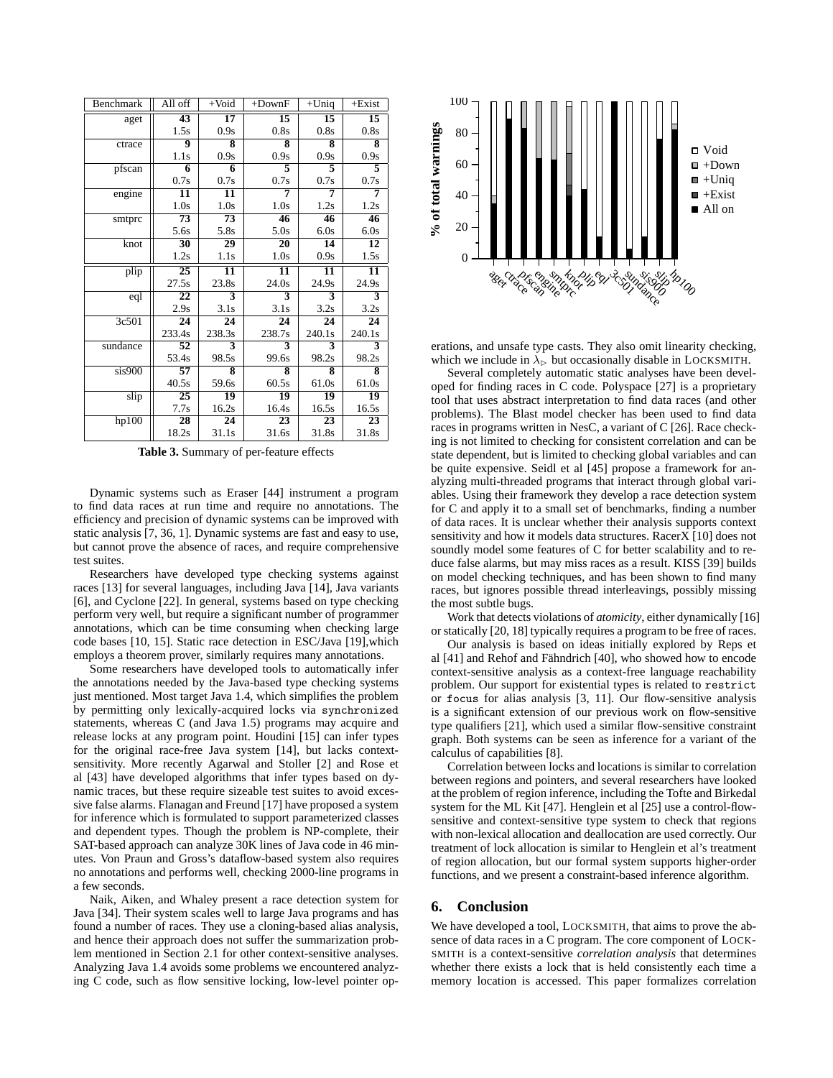| Benchmark    | All off         | $+$ Void                | $+DownF$                | $+$ Uniq                | $+Exist$        |
|--------------|-----------------|-------------------------|-------------------------|-------------------------|-----------------|
| aget         | 43              | 17                      | 15                      | 15                      | 15              |
|              | 1.5s            | 0.9s                    | 0.8s                    | 0.8s                    | 0.8s            |
| ctrace       | 9               | 8                       | $\overline{\mathbf{8}}$ | 8                       | 8               |
|              | 1.1s            | 0.9s                    | 0.9s                    | 0.9s                    | 0.9s            |
| pfscan       | 6               | 6                       | 5                       | $\overline{\mathbf{5}}$ | 5               |
|              | 0.7s            | 0.7s                    | 0.7s                    | 0.7s                    | 0.7s            |
| engine       | 11              | 11                      | 7                       | 7                       | 7               |
|              | 1.0s            | 1.0s                    | 1.0s                    | 1.2s                    | 1.2s            |
| smtprc       | 73              | 73                      | 46                      | 46                      | 46              |
|              | 5.6s            | 5.8s                    | 5.0s                    | 6.0s                    | 6.0s            |
| knot         | $\overline{30}$ | $\overline{29}$         | 20                      | 14                      | 12              |
|              | 1.2s            | 1.1s                    | 1.0s                    | 0.9s                    | 1.5s            |
| plip         | 25              | 11                      | 11                      | 11                      | 11              |
|              | 27.5s           | 23.8s                   | 24.0s                   | 24.9s                   | 24.9s           |
| eql          | 22              | 3                       | 3                       | 3                       | 3               |
|              | 2.9s            | 3.1s                    | 3.1s                    | 3.2s                    | 3.2s            |
| 3c501        | $\overline{24}$ | 24                      | $\overline{24}$         | $\overline{24}$         | $\overline{24}$ |
|              | 233.4s          | 238.3s                  | 238.7s                  | 240.1s                  | 240.1s          |
| sundance     | 52              | $\overline{\mathbf{3}}$ | 3                       | 3                       | 3               |
|              | 53.4s           | 98.5s                   | 99.6s                   | 98.2s                   | 98.2s           |
| $s$ is $900$ | 57              | 8                       | 8                       | 8                       | 8               |
|              | 40.5s           | 59.6s                   | 60.5s                   | 61.0s                   | 61.0s           |
| slip         | 25              | $\overline{19}$         | $\overline{19}$         | 19                      | $\overline{19}$ |
|              | 7.7s            | 16.2s                   | 16.4s                   | 16.5s                   | 16.5s           |
| hp100        | 28              | 24                      | 23                      | 23                      | 23              |
|              | 18.2s           | 31.1s                   | 31.6s                   | 31.8s                   | 31.8s           |

**Table 3.** Summary of per-feature effects

Dynamic systems such as Eraser [44] instrument a program to find data races at run time and require no annotations. The efficiency and precision of dynamic systems can be improved with static analysis [7, 36, 1]. Dynamic systems are fast and easy to use, but cannot prove the absence of races, and require comprehensive test suites.

Researchers have developed type checking systems against races [13] for several languages, including Java [14], Java variants [6], and Cyclone [22]. In general, systems based on type checking perform very well, but require a significant number of programmer annotations, which can be time consuming when checking large code bases [10, 15]. Static race detection in ESC/Java [19],which employs a theorem prover, similarly requires many annotations.

Some researchers have developed tools to automatically infer the annotations needed by the Java-based type checking systems just mentioned. Most target Java 1.4, which simplifies the problem by permitting only lexically-acquired locks via synchronized statements, whereas C (and Java 1.5) programs may acquire and release locks at any program point. Houdini [15] can infer types for the original race-free Java system [14], but lacks contextsensitivity. More recently Agarwal and Stoller [2] and Rose et al [43] have developed algorithms that infer types based on dynamic traces, but these require sizeable test suites to avoid excessive false alarms. Flanagan and Freund [17] have proposed a system for inference which is formulated to support parameterized classes and dependent types. Though the problem is NP-complete, their SAT-based approach can analyze 30K lines of Java code in 46 minutes. Von Praun and Gross's dataflow-based system also requires no annotations and performs well, checking 2000-line programs in a few seconds.

Naik, Aiken, and Whaley present a race detection system for Java [34]. Their system scales well to large Java programs and has found a number of races. They use a cloning-based alias analysis, and hence their approach does not suffer the summarization problem mentioned in Section 2.1 for other context-sensitive analyses. Analyzing Java 1.4 avoids some problems we encountered analyzing C code, such as flow sensitive locking, low-level pointer op-



erations, and unsafe type casts. They also omit linearity checking, which we include in  $\lambda_{\triangleright}$  but occasionally disable in LOCKSMITH.

Several completely automatic static analyses have been developed for finding races in C code. Polyspace [27] is a proprietary tool that uses abstract interpretation to find data races (and other problems). The Blast model checker has been used to find data races in programs written in NesC, a variant of C [26]. Race checking is not limited to checking for consistent correlation and can be state dependent, but is limited to checking global variables and can be quite expensive. Seidl et al [45] propose a framework for analyzing multi-threaded programs that interact through global variables. Using their framework they develop a race detection system for C and apply it to a small set of benchmarks, finding a number of data races. It is unclear whether their analysis supports context sensitivity and how it models data structures. RacerX [10] does not soundly model some features of C for better scalability and to reduce false alarms, but may miss races as a result. KISS [39] builds on model checking techniques, and has been shown to find many races, but ignores possible thread interleavings, possibly missing the most subtle bugs.

Work that detects violations of *atomicity*, either dynamically [16] or statically [20, 18] typically requires a program to be free of races.

Our analysis is based on ideas initially explored by Reps et al [41] and Rehof and Fähndrich [40], who showed how to encode context-sensitive analysis as a context-free language reachability problem. Our support for existential types is related to restrict or focus for alias analysis [3, 11]. Our flow-sensitive analysis is a significant extension of our previous work on flow-sensitive type qualifiers [21], which used a similar flow-sensitive constraint graph. Both systems can be seen as inference for a variant of the calculus of capabilities [8].

Correlation between locks and locations is similar to correlation between regions and pointers, and several researchers have looked at the problem of region inference, including the Tofte and Birkedal system for the ML Kit [47]. Henglein et al [25] use a control-flowsensitive and context-sensitive type system to check that regions with non-lexical allocation and deallocation are used correctly. Our treatment of lock allocation is similar to Henglein et al's treatment of region allocation, but our formal system supports higher-order functions, and we present a constraint-based inference algorithm.

# **6. Conclusion**

We have developed a tool, LOCKSMITH, that aims to prove the absence of data races in a C program. The core component of LOCK-SMITH is a context-sensitive *correlation analysis* that determines whether there exists a lock that is held consistently each time a memory location is accessed. This paper formalizes correlation